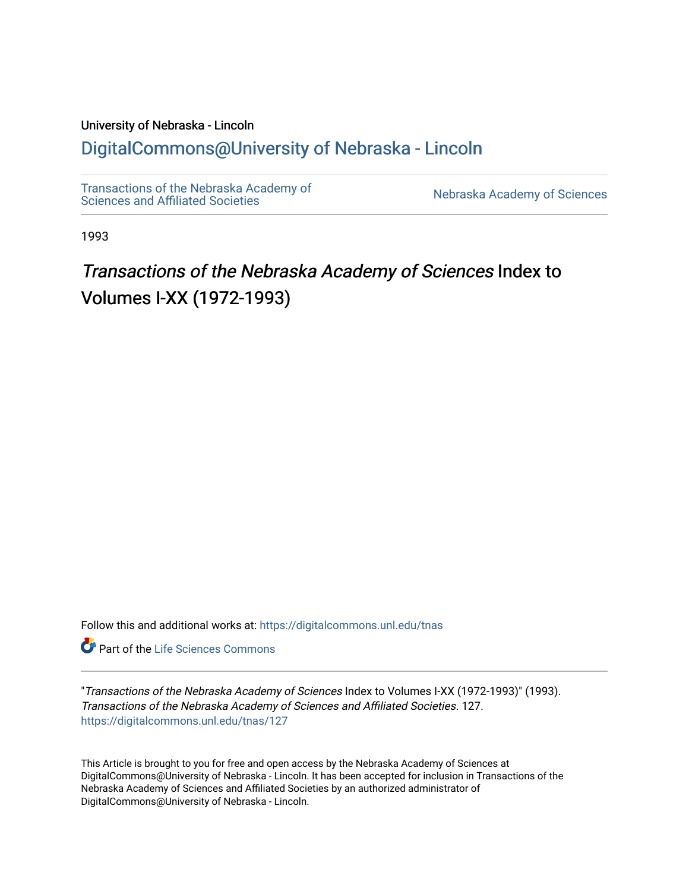# University of Nebraska - Lincoln [DigitalCommons@University of Nebraska - Lincoln](https://digitalcommons.unl.edu/)

[Transactions of the Nebraska Academy of](https://digitalcommons.unl.edu/tnas) 

Nebraska Academy of Sciences

1993

# Transactions of the Nebraska Academy of Sciences Index to Volumes I-XX (1972-1993)

Follow this and additional works at: [https://digitalcommons.unl.edu/tnas](https://digitalcommons.unl.edu/tnas?utm_source=digitalcommons.unl.edu%2Ftnas%2F127&utm_medium=PDF&utm_campaign=PDFCoverPages) 

**Part of the Life Sciences Commons** 

"Transactions of the Nebraska Academy of Sciences Index to Volumes I-XX (1972-1993)" (1993). Transactions of the Nebraska Academy of Sciences and Affiliated Societies. 127. [https://digitalcommons.unl.edu/tnas/127](https://digitalcommons.unl.edu/tnas/127?utm_source=digitalcommons.unl.edu%2Ftnas%2F127&utm_medium=PDF&utm_campaign=PDFCoverPages) 

This Article is brought to you for free and open access by the Nebraska Academy of Sciences at DigitalCommons@University of Nebraska - Lincoln. It has been accepted for inclusion in Transactions of the Nebraska Academy of Sciences and Affiliated Societies by an authorized administrator of DigitalCommons@University of Nebraska - Lincoln.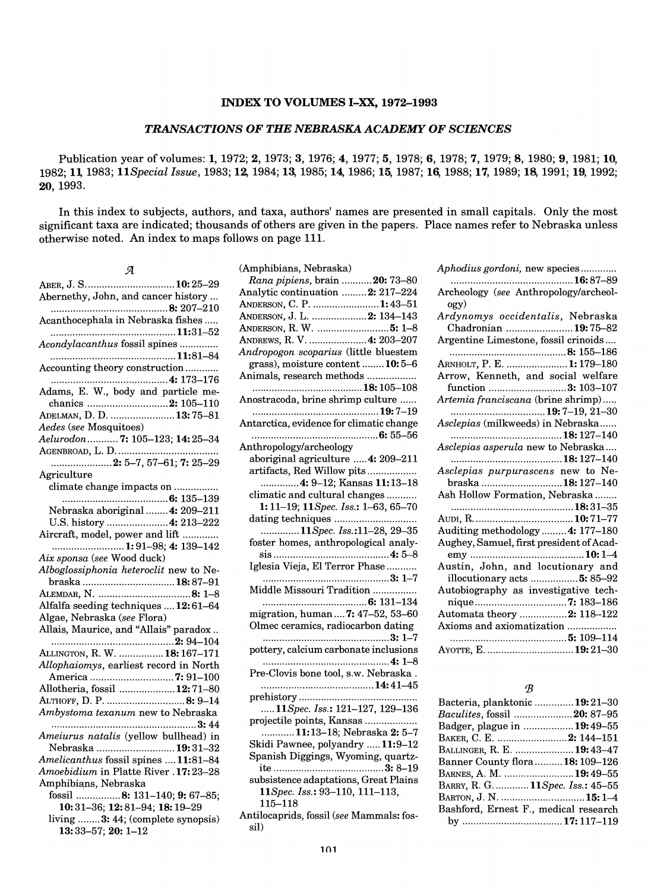### INDEX TO VOLUMES I-xx, 1972-1993

### *TRANSACTIONS OF THE NEBRASKA ACADEMY OF SCIENCES*

Publication year of volumes: 1, 1972; 2, 1973; 3, 1976; 4, 1977; 5, 1978; 6, 1978; 7, 1979; 8, 1980; 9, 1981; 10, 1982; 11, 1983; 11Special Issue, 1983; 12, 1984; 13, 1985; 14, 1986; 15, 1987; 16, 1988; 17, 1989; 18, 1991; 20,1993.

In this index to subjects, authors, and taxa, authors' names are presented in small capitals. Only the most significant taxa are indicated; thousands of others are given in the papers. Place names refer to Nebraska unless otherwise noted. An index to maps follows on page 111.

| я                                      |
|----------------------------------------|
| ABER, J. S 10:25–29                    |
| Abernethy, John, and cancer history    |
|                                        |
| Acanthocephala in Nebraska fishes      |
|                                        |
| Acondylacanthus fossil spines          |
|                                        |
| Accounting theory construction         |
|                                        |
| Adams, E. W., body and particle me-    |
| chanics 2: 105-110                     |
| ADELMAN, D. D.  13:75-81               |
| Aedes (see Mosquitoes)                 |
| Aelurodon  7: 105–123; 14: 25–34       |
|                                        |
| Agriculture                            |
| climate change impacts on              |
|                                        |
| Nebraska aboriginal  4: 209-211        |
| U.S. history  4: 213-222               |
| Aircraft, model, power and lift        |
| 1:91-98; 4: 139-142                    |
| Aix sponsa (see Wood duck)             |
| Alboglossiphonia heteroclit new to Ne- |
| braska  18:87-91                       |
|                                        |
| Alfalfa seeding techniques  12:61-64   |
| Algae, Nebraska (see Flora)            |
| Allais, Maurice, and "Allais" paradox  |
|                                        |
| ALLINGTON, R. W.  18: 167-171          |
| Allophaiomys, earliest record in North |
| Allotheria, fossil 12:71-80            |
| ALTHOFF, D. P. 8: 9-14                 |
| Ambystoma texanum new to Nebraska      |
|                                        |
| Ameiurus natalis (yellow bullhead) in  |
| Nebraska  19:31-32                     |
| Amelicanthus fossil spines  11:81-84   |
| Amoebidium in Platte River .17:23-28   |
| Amphibians, Nebraska                   |
| fossil 8: 131-140; 9: 67-85;           |
| 10:31-36; 12:81-94; 18:19-29           |
| living  3: 44; (complete synopsis)     |
| $13:33-57:20:1-12$                     |

| (Amphibians, Nebraska)                                                |
|-----------------------------------------------------------------------|
| Rana pipiens, brain  20: 73-80                                        |
| Analytic continuation 2: 217-224                                      |
| ANDERSON, C. P.  1:43-51                                              |
| ANDERSON, J. L.  2: 134-143                                           |
| ANDERSON, R. W.  5: 1-8                                               |
| ANDREWS, R. V.  4: 203-207                                            |
| Andropogon scoparius (little bluestem                                 |
| grass), moisture content 10:5-6                                       |
| Animals, research methods                                             |
|                                                                       |
| Anostracoda, brine shrimp culture                                     |
|                                                                       |
| Antarctica, evidence for climatic change                              |
| Anthropology/archeology                                               |
| aboriginal agriculture  4: 209-211                                    |
| artifacts, Red Willow pits                                            |
| 4: 9–12; Kansas 11:13–18                                              |
| climatic and cultural changes                                         |
| 1:11-19; 11 Spec. Iss.: 1-63, 65-70                                   |
|                                                                       |
| 11Spec. Iss.:11-28, 29-35                                             |
| foster homes, anthropological analy-                                  |
|                                                                       |
| Iglesia Vieja, El Terror Phase                                        |
|                                                                       |
| Middle Missouri Tradition                                             |
|                                                                       |
| migration, human  7: 47-52, 53-60                                     |
| Olmec ceramics, radiocarbon dating                                    |
|                                                                       |
| pottery, calcium carbonate inclusions                                 |
|                                                                       |
| Pre-Clovis bone tool, s.w. Nebraska.                                  |
|                                                                       |
|                                                                       |
| 11Spec. Iss.: 121-127, 129-136                                        |
| projectile points, Kansas                                             |
| 11:13-18; Nebraska 2: 5-7                                             |
| Skidi Pawnee, polyandry 11:9-12<br>Spanish Diggings, Wyoming, quartz- |
|                                                                       |
| subsistence adaptations, Great Plains                                 |
| 11Spec. Iss.: 93-110, 111-113,                                        |
| $115 - 118$                                                           |
| Antilocaprids, fossil (see Mammals: fos-                              |
| sil)                                                                  |
|                                                                       |

| Aphodius gordoni, new species            |
|------------------------------------------|
| 16:87–89                                 |
| Archeology (see Anthropology/archeol-    |
| ogy)                                     |
| Ardynomys occidentalis, Nebraska         |
| Chadronian 19:75-82                      |
| Argentine Limestone, fossil crinoids     |
|                                          |
| ARNHOLT, P. E. 1:179-180                 |
| Arrow, Kenneth, and social welfare       |
| function 3: 103-107                      |
| Artemia franciscana (brine shrimp)       |
| <b>19:</b> 7–19, 21–30                   |
| Asclepias (milkweeds) in Nebraska        |
|                                          |
| Asclepias asperula new to Nebraska       |
| 18: 127–140                              |
| Asclepias purpurascens new to Ne-        |
| braska  18: 127-140                      |
| Ash Hollow Formation, Nebraska           |
|                                          |
|                                          |
| Auditing methodology  4: 177-180         |
| Aughey, Samuel, first president of Acad- |
|                                          |
| Austin, John, and locutionary and        |
| illocutionary acts  5: 85-92             |
| Autobiography as investigative tech-     |
|                                          |
| nique7: 183-186                          |
| Automata theory 2: 118-122               |
| Axioms and axiomatization                |
|                                          |
| AYOTTE, E.  19: 21-30                    |

### *'B*

| Bacteria, planktonic <b>19:</b> 21–30  |  |
|----------------------------------------|--|
| <i>Baculites, fossil </i> .20: 87–95   |  |
| Badger, plague in <b>19:</b> 49–55     |  |
| Baker, C. E. 2: 144–151                |  |
| Ballinger, R. E. 19:43–47              |  |
| Banner County flora1 <b>8:</b> 109–126 |  |
| BARNES, A. M. 19:49–55                 |  |
| BARRY, R. G.  11Spec. Iss.: 45-55      |  |
| BARTON, J. N. 15: 1–4                  |  |
| Bashford, Ernest F., medical research  |  |
|                                        |  |
|                                        |  |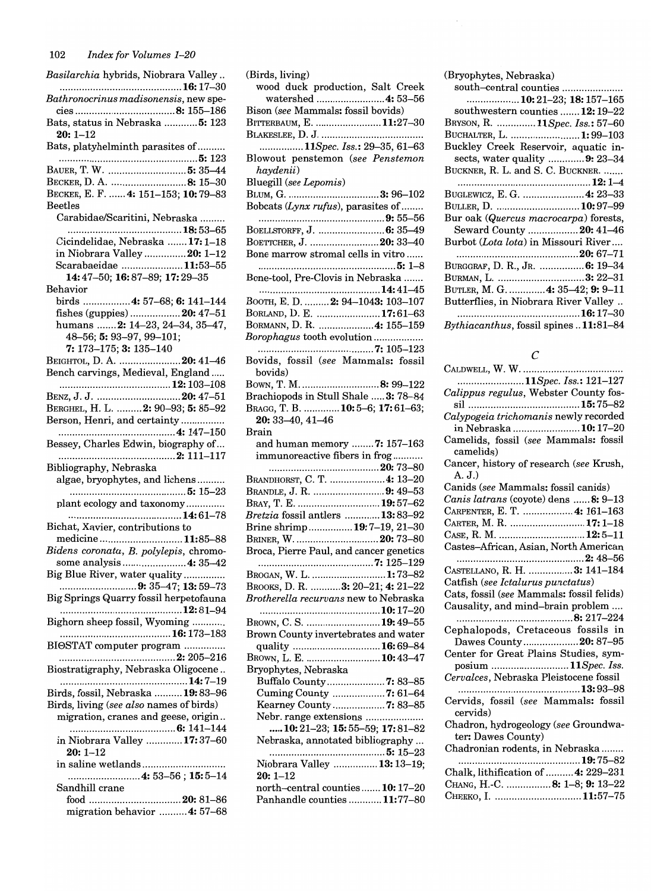*Basilarchia* hybrids, Niobrara Valley .. ............................................ 16: 17-30 *Bathronocrinus madisonensis,* new species .................................... 8: 155-186 Bats, status in Nebraska ............ 5: 123 20: 1-12 Bats, platyhelminth parasites of ......... .................................................. 5: 123 BAUER, T. W ............................. 5: 35-44 BECKER, D. A. ........................... 8: 15-30 BECKER, E. F. ...... 4: 151-153; 10: 79-83 Beetles Carabidae/Scaritini, Nebraska ........ ......................................... 18:53-65 Cicindelidae, Nebraska ....... 17: 1-18 in Niobrara Valley ............... 20: 1-12 Scarabaeidae ...................... 11:53-55 14:47-50; 16:87-89; 17:29-35 Behavior birds ................ .4: 57-68; 6: 141-144 fishes (guppies) .................. 20: 47-51 humans ....... 2: 14-23, 24-34, 35-47, 48-56;5:93-97,99-101; 7: 173-175;3: 135-140 BEIGHTOL, D. A. ...................... 20: 41-46 Bench carvings, Medieval, England ..... ........................................ 12: 103-108 BENZ, J. J ............................... 20: 47-51 BERGHEL, H. L. ......... 2: 90-93; 5: 85-92 Berson, Henri, and certainty ............... . .......................................... 4: 147-150 Bessey, Charles Edwin, biography of... .......................................... 2: 111-117 Bibliography, Nebraska algae, bryophytes, and lichens ......... . .......................................... 5: 15-23 plant ecology and taxonomy ............. . ......................................... 14:61-78 Bichat, Xavier, contributions to medicine .............................. 11:85-88 *Bidens coronata,* B. *polylepis,* chromosome analysis .......................... 4: 35-42 Big Blue River, water quality .............. . ......................................9: 35–47; 13: 59–73 Big Springs Quarry fossil herpetofauna ............................................ 12:81-94 Bighorn sheep fossil, Wyoming ........... . ........................................ 16: 173-183 BIeSTAT computer program .............. . .......................................... 2: 205-216 Biostratigraphy, Nebraska Oligocene .. .............................................. 14:7-19 Birds, fossil, Nebraska .......... 19: 83-96 Birds, living *(see also* names of birds) migration, cranes and geese, origin .. ...................................... 6: 141-144 in Niobrara Valley ............. 17: 37-60 20: 1-12 in saline wetlands ............................. . ......................... .4: 53-56; 15: 5-14 Sandhill crane food ................................. 20: 81-86 migration behavior .......... 4: 57-68 (Birds, living) wood duck production, Salt Creek watershed ........................ .4: 53-56 Bison *(see* Mammals: fossil bovids) BITTERBAUM, E. ........................ 11:27-30 BLAKESLEE, D. J ..................................... . *. ............... 11Spec. Iss.:* 29-35, 61-63 Blowout penstemon *(see Penstemon haydenii)*  Bluegill *(see Lepomis)*  BLUM, G .................................. 3: 96-102 Bobcats (Lynx rufus), parasites of ....... . ............................................. 9: 55-56 BOELLSTORFF, J. ............................ 6: 35–49 BOETTCHER, J. .............................20: 33-40 Bone marrow stromal cells in vitro ..... . .................................................. 5: 1-8 Bone-tool, Pre-Clovis in Nebraska ...... . ............................................ 14:41-45 BOOTH, E. D. ......... 2: 94-1043: 103-107 BORLAND, D. E. ....................... 17:61-63 BORMANN, D. R. ................... .4: 155-159 *Borophagus* tooth evolution ................. . .......................................... 7: 105-123 Bovids, fossil *(see* Mammals: fossil bovids) BOWN, T. M ............................. 8: 99-122 Brachiopods in Stull Shale ..... 3: 78-84 BRAGG, T. B. ............. 10: 5-6; 17: 61-63; 20:33-40,41-46 Brain and human memory ........ 7: 157-163 immunoreactive fibers in frog .......... . ........................................ 20: 73-80 BRANDHORST, C. T. .................... 4: 13-20 BRANDLE, J. R. .......................... 9: 49-53 BRAY, T. E. .............................. 19: 57-62 *Bretzia* fossil antlers ............. 13: 83-92 Brine shrimp ................ 19: 7-19, 21-30 BRINER, W ............................... 20: 73-80 Broca, Pierre Paul, and cancer genetics .......................................... 7: 125-129 BROGAN, W. L. ............................1:73-82 BROOKS, D. R. ........... 3: 20-21; 4: 21-22 *Brotherella recurvans* new to Nebraska ............................................ 10: 17-20 BROWN, C. S. ............................ 19:49-55 Brown County invertebrates and water quality ...................................**16:** 69–84 BROWN, L. E. ........................... 10:43-47 Bryophytes, Nebraska Buffalo County ..................... 7: 83-85 Cuming County ................... 7: 61-64 Kearney County ................... 7: 83-85 Nebr. range extensions .................... . ..... 10: 21-23; 15: 55-59; 17: 81-82 Nebraska, annotated bibliography ... .......................................... 5: 15-23 Niobrara Valley ................ 13: 13-19;  $20 \cdot 1 - 12$ north-central counties ....... 10: 17-20 Panhandle counties ............ 11:77-80 (Bryophytes, Nebraska)

### $\mathcal{C}$

 $C_{\text{LF-Dump}}$ , W. W.

| 11Spec. Iss.: 121–127                     |
|-------------------------------------------|
| Calippus regulus, Webster County fos-     |
|                                           |
| Calypogeia trichomanis newly recorded     |
| in Nebraska  10:17–20                     |
| Camelids, fossil (see Mammals: fossil     |
| camelids)                                 |
| Cancer, history of research (see Krush,   |
| A. J.)                                    |
| Canids (see Mammals: fossil canids)       |
| Canis latrans (coyote) dens  8: 9-13      |
| CARPENTER, E. T.  4: 161-163              |
| CARTER, M. R. 17: 1-18                    |
| CASE, R. M.  12:5-11                      |
| Castes-African, Asian, North American     |
|                                           |
| CASTELLANO, R. H.  3: 141-184             |
| Catfish (see Ictalurus punctatus)         |
| Cats, fossil (see Mammals: fossil felids) |
| Causality, and mind-brain problem         |
| 8: 217–224                                |
| Cephalopods, Cretaceous fossils in        |
| Dawes County20: 87-95                     |
| Center for Great Plains Studies, sym-     |
| posium  11Spec. Iss.                      |
| Cervalces, Nebraska Pleistocene fossil    |
|                                           |
| Cervids, fossil (see Mammals: fossil      |
| cervids)                                  |
| Chadron, hydrogeology (see Groundwa-      |
| ter: Dawes County)                        |
| Chadronian rodents, in Nebraska           |
|                                           |
| Chalk, lithification of  4: 229-231       |
| CHANG, H.-C. 8: 1-8; 9: 13-22             |
| CHERKO, I. 11:57-75                       |
|                                           |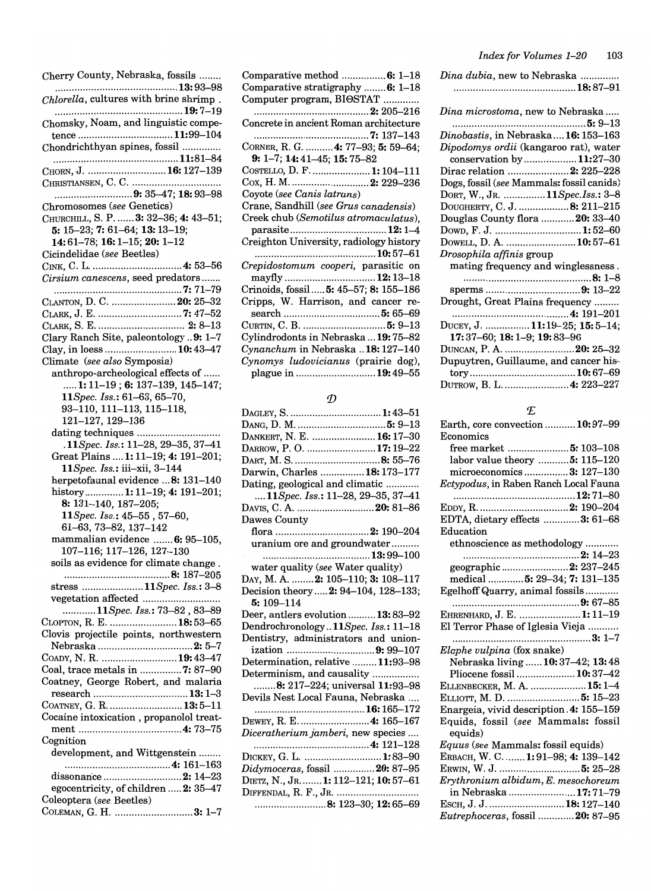| Cherry County, Nebraska, fossils                                          |
|---------------------------------------------------------------------------|
|                                                                           |
| Chlorella, cultures with brine shrimp.                                    |
| Chomsky, Noam, and linguistic compe-                                      |
| tence 11:99-104                                                           |
| Chondrichthyan spines, fossil                                             |
|                                                                           |
| CHORN, J.  16: 127-139                                                    |
|                                                                           |
| 9: 35–47; 18: 93–98                                                       |
| Chromosomes (see Genetics)                                                |
| CHURCHILL, S. P.  3: 32-36; 4: 43-51;                                     |
| 5: $15-23$ ; 7: $61-64$ ; 13: $13-19$ ;                                   |
| 14:61-78; 16:1-15; 20: 1-12                                               |
| Cicindelidae (see Beetles)                                                |
| Cirsium canescens, seed predators                                         |
|                                                                           |
| CLANTON, D. C.  20: 25-32                                                 |
|                                                                           |
|                                                                           |
| Clary Ranch Site, paleontology  9: 1-7                                    |
| Clay, in loess  10:43-47                                                  |
| Climate (see also Symposia)                                               |
| anthropo-archeological effects of                                         |
| 1: 11-19 ; 6: 137-139, 145-147;                                           |
| 11 Spec. Iss.: 61-63, 65-70,                                              |
| 93-110, 111-113, 115-118,                                                 |
| 121-127, 129-136                                                          |
| dating techniques                                                         |
| .11Spec. Iss.: 11-28, 29-35, 37-41<br>Great Plains  1: 11-19; 4: 191-201; |
| 11 Spec. Iss.: iii-xii, 3-144                                             |
| herpetofaunal evidence  8: 131-140                                        |
| history 1: 11-19; 4: 191-201;                                             |
| 8: 131-140, 187-205;                                                      |
| $11Spec.$ Iss.: $45-55$ , $57-60,$                                        |
| 61-63, 73-82, 137-142                                                     |
| mammalian evidence  6: 95-105,                                            |
| 107-116; 117-126, 127-130                                                 |
| soils as evidence for climate change                                      |
| stress 11Spec. Iss.: 3-8                                                  |
| vegetation affected                                                       |
| 11Spec. Iss.: 73-82, 83-89                                                |
| CLOPTON, R. E.  18:53-65                                                  |
| Clovis projectile points, northwestern                                    |
|                                                                           |
| Соару, N. R.  19:43-47                                                    |
| Coal, trace metals in 7: 87-90                                            |
| Coatney, George Robert, and malaria                                       |
| research 13:1-3                                                           |
| COATNEY, G. R.  13:5-11                                                   |
| Cocaine intoxication, propanolol treat-                                   |
| Cognition                                                                 |
| development, and Wittgenstein                                             |
|                                                                           |
| dissonance 2: 14-23                                                       |
| egocentricity, of children  2: 35-47                                      |
| Coleoptera (see Beetles)                                                  |
| COLEMAN, G. H. 3: 1-7                                                     |

| Comparative method 6: 1–18<br>Comparative stratigraphy  6: 1-18 |
|-----------------------------------------------------------------|
|                                                                 |
| Computer program, BIOSTAT                                       |
|                                                                 |
| Concrete in ancient Roman architecture                          |
|                                                                 |
| CORNER, R. G.  4: 77–93; 5: 59–64;                              |
| 9: 1-7; 14: 41-45; 15: 75-82                                    |
| COSTELLO, D. F.  1: 104–111                                     |
|                                                                 |
| Coyote (see Canis latrans)                                      |
| Crane, Sandhill (see Grus canadensis)                           |
| Creek chub (Semotilus atromaculatus),                           |
|                                                                 |
| Creighton University, radiology history                         |
|                                                                 |
|                                                                 |
| Crepidostomum cooperi, parasitic on                             |
| mayfly  12:13-18                                                |
| Crinoids, fossil <b>5:</b> 45–57; <b>8:</b> 155–186             |
|                                                                 |
| Cripps, W. Harrison, and cancer re-                             |
|                                                                 |
| Curtin, C. B.  5: 9–13<br>Cylindrodonts in Nebraska  19:75–82   |
|                                                                 |
| Cynanchum in Nebraska 18:127-140                                |
| Cynomys ludovicianus (prairie dog),<br>plague in 19:49–55       |

### $\mathcal{D}% _{M_{1},M_{2}}^{\alpha,\beta}(\varepsilon)$

| DAGLEY, S.  1:43-51                  |
|--------------------------------------|
|                                      |
| DANKERT, N. E.  16: 17-30            |
| DARROW, P.O. 17:19-22                |
|                                      |
| Darwin, Charles  18:173-177          |
| Dating, geological and climatic      |
| 11Spec. Iss.: 11-28, 29-35, 37-41    |
| DAVIS, C. A. 20: 81-86               |
| Dawes County                         |
| flora 2: 190–204                     |
| uranium ore and groundwater          |
|                                      |
| water quality (see Water quality)    |
| DAY, M. A.  2: 105-110; 3: 108-117   |
| Decision theory  2: 94-104, 128-133; |
| $5:109 - 114$                        |
| Deer, antlers evolution  13:83-92    |
| Dendrochronology11Spec. Iss.: 11-18  |
| Dentistry, administrators and union- |
| ization 9: 99–107                    |
| Determination, relative 11:93-98     |
| Determinism, and causality           |
| 8: 217–224; universal 11:93–98       |
| Devils Nest Local Fauna, Nebraska    |
|                                      |
| DEWEY, R. E.  4: 165-167             |
| Diceratherium jamberi, new species   |
|                                      |
| DICKEY, G. L.  1:83-90               |
| Didymoceras, fossil 20: 87-95        |
| DIETZ, N., JR 1: 112-121; 10: 57-61  |
| DIFFENDAL, R. F., JR.                |
| 8: 123–30; 12: 65–69                 |

| Dina dubia, new to Nebraska |  |
|-----------------------------|--|
|                             |  |

| Dina microstoma, new to Nebraska          |
|-------------------------------------------|
|                                           |
| Dinobastis, in Nebraska 16: 153-163       |
| Dipodomys ordii (kangaroo rat), water     |
| conservation by11:27–30                   |
| Dirac relation 2: 225–228                 |
| Dogs, fossil (see Mammals: fossil canids) |
| DORT, W., JR. 11Spec.Iss.: 3-8            |
| DOUGHERTY, C. J. 8: 211-215               |
| Douglas County flora  20: 33-40           |
|                                           |
| DOWELL, D. A.  10:57-61                   |
|                                           |
| Drosophila affinis group                  |
| mating frequency and winglessness.        |
|                                           |
|                                           |
| Drought, Great Plains frequency           |
|                                           |
| DUCEY, J.  11:19-25; 15: 5-14;            |
| $17:37-60$ ; 18: 1-9; 19: 83-96           |
| DUNCAN, P. A. 20: 25–32                   |
| Dupuytren, Guillaume, and cancer his-     |
|                                           |

### f£

| Earth, core convection  10:97-99              |
|-----------------------------------------------|
| Economics                                     |
| free market  5: 103-108                       |
| labor value theory  5: 115-120                |
| microeconomics 3: 127-130                     |
| Ectypodus, in Raben Ranch Local Fauna         |
|                                               |
|                                               |
| EDTA, dietary effects 3: 61-68                |
| Education                                     |
| ethnoscience as methodology                   |
|                                               |
| geographic 2: 237-245                         |
| medical  5: 29-34; 7: 131-135                 |
| Egelhoff Quarry, animal fossils               |
|                                               |
| EHRENHARD, J. E. 1:11-19                      |
| El Terror Phase of Iglesia Vieja              |
| $3: 1-7$                                      |
| Elaphe vulpina (fox snake)                    |
| Nebraska living  10: 37-42; 13: 48            |
| Pliocene fossil  10:37-42                     |
| ELLENBECKER, M. A.  15: 1-4                   |
| ELLIOTT, M. D.  5: 15–23                      |
| Enargeia, vivid description. 4: 155-159       |
| Equids, fossil (see Mammals: fossil           |
| equids)                                       |
| Equus (see Mammals: fossil equids)            |
| ERBACH, W. C.  1:91-98; 4: 139-142            |
|                                               |
| Erythronium albidum, E. mesochoreum           |
| in Nebraska 17:71-79                          |
| ESCH, J. J.  18: 127-140                      |
| <i>Eutrephoceras.</i> fossil <b>20:</b> 87–95 |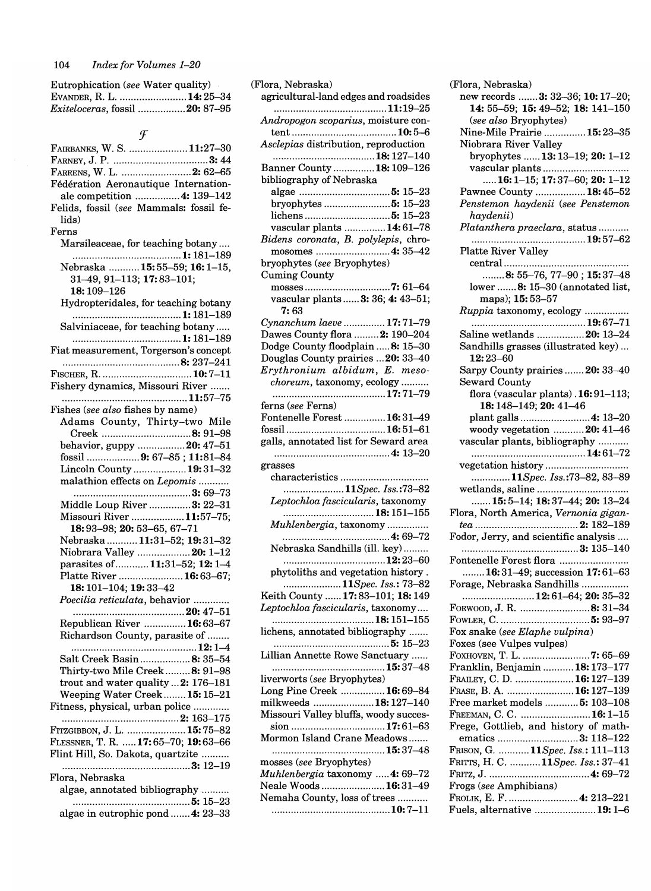| Eutrophication (see Water quality) |  |
|------------------------------------|--|
| EVANDER, R. L.  14: 25-34          |  |
| Exiteloceras, fossil 20: 87-95     |  |

 $\mathcal{F}$ 

| FAIRBANKS, W. S.  11:27-30              |
|-----------------------------------------|
|                                         |
| FARRENS, W. L. 2: 62-65                 |
| Fédération Aeronautique Internation-    |
| ale competition  4: 139-142             |
| Felids, fossil (see Mammals: fossil fe- |
| lids)                                   |
| Ferns                                   |
| Marsileaceae, for teaching botany       |
|                                         |
| Nebraska 15:55-59; 16:1-15,             |
| 31-49, 91-113; 17:83-101;<br>18:109-126 |
|                                         |
| Hydropteridales, for teaching botany    |
| Salviniaceae, for teaching botany       |
|                                         |
| Fiat measurement, Torgerson's concept   |
|                                         |
|                                         |
| Fishery dynamics, Missouri River        |
|                                         |
| Fishes (see also fishes by name)        |
| Adams County, Thirty-two Mile           |
| Creek 8: 91-98                          |
| behavior, guppy 20: 47-51               |
| fossil 9: 67-85; 11:81-84               |
| Lincoln County  19:31-32                |
| malathion effects on Lepomis            |
|                                         |
| Middle Loup River  3: 22-31             |
| Missouri River 11:57-75;                |
| 18:93-98; 20: 53-65, 67-71              |
| Nebraska  11:31-52; 19:31-32            |
| Niobrara Valley  20: 1-12               |
| parasites of  11:31-52; 12:1-4          |
| Platte River  16:63-67;                 |
| 18: 101-104; 19: 33-42                  |
| Poecilia reticulata, behavior           |
|                                         |
| Republican River 16:63-67               |
| Richardson County, parasite of          |
| 12: 1–4                                 |
| Salt Creek Basin 8: 35-54               |
| Thirty-two Mile Creek8: 91-98           |
| trout and water quality  2: 176-181     |
| Weeping Water Creek 15: 15-21           |
| Fitness, physical, urban police         |
| FITZGIBBON, J. L.  15:75–82             |
| FLESSNER, T. R.  17:65–70; 19:63–66     |
| Flint Hill, So. Dakota, quartzite       |
|                                         |
| Flora, Nebraska                         |
| algae, annotated bibliography           |
|                                         |
| algae in eutrophic pond  4: 23-33       |
|                                         |

| agricultural-land edges and roadsides |
|---------------------------------------|
| 11:19–25                              |
| Andropogon scoparius, moisture con-   |
|                                       |
| Asclepias distribution, reproduction  |
|                                       |
| Banner County  18: 109-126            |
| bibliography of Nebraska              |
|                                       |
| bryophytes  5: 15-23                  |
| vascular plants  14:61-78             |
| Bidens coronata, B. polylepis, chro-  |
| mosomes 4: 35–42                      |
| bryophytes (see Bryophytes)           |
| <b>Cuming County</b>                  |
|                                       |
| vascular plants  3: 36; 4: 43-51;     |
| 7: 63                                 |
| Cynanchum laeve  17:71-79             |
| Dawes County flora  2: 190-204        |
| Dodge County floodplain  8: 15-30     |
| Douglas County prairies  20: 33-40    |
| Erythronium albidum, E. meso-         |
| choreum, taxonomy, ecology            |
|                                       |
| ferns (see Ferns)                     |
| Fontenelle Forest  16:31-49           |
|                                       |
| galls, annotated list for Seward area |
|                                       |
| grasses                               |
|                                       |
|                                       |
| 11Spec. Iss.:73-82                    |
| Leptochloa fascicularis, taxonomy     |
| 18: 151–155                           |
| Muhlenbergia, taxonomy                |
|                                       |
| Nebraska Sandhills (ill. key)         |
| 12:23–60                              |
| phytoliths and vegetation history     |
| 11Spec. Iss.: 73–82                   |
| Keith County  17:83-101; 18:149       |
| Leptochloa fascicularis, taxonomy     |
|                                       |
| lichens, annotated bibliography       |
|                                       |
| Lillian Annette Rowe Sanctuary        |
| liverworts (see Bryophytes)           |
| Long Pine Creek  16:69-84             |
| milkweeds 18:127-140                  |
| Missouri Valley bluffs, woody succes- |
| sion 17:61-63                         |
| Mormon Island Crane Meadows           |
|                                       |
| mosses (see Bryophytes)               |
| Muhlenbergia taxonomy  4: 69-72       |
| Neale Woods  16:31-49                 |
| Nemaha County, loss of trees          |
|                                       |

| (Flora, Nebraska)                     |
|---------------------------------------|
| new records  3: 32-36; 10: 17-20;     |
| 14: 55-59; 15: 49-52; 18: 141-150     |
| (see also Bryophytes)                 |
| Nine-Mile Prairie  15:23-35           |
| Niobrara River Valley                 |
| bryophytes  13: 13-19; 20: 1-12       |
|                                       |
| vascular plants                       |
| 16: 1-15; 17: 37-60; 20: 1-12         |
| Pawnee County  18:45-52               |
| Penstemon haydenii (see Penstemon     |
| haydenii)                             |
| Platanthera praeclara, status         |
|                                       |
| <b>Platte River Valley</b>            |
|                                       |
| 8: 55-76, 77-90; 15:37-48             |
| lower  8: 15-30 (annotated list,      |
| maps); 15:53-57                       |
| Ruppia taxonomy, ecology              |
|                                       |
| Saline wetlands  20: 13-24            |
|                                       |
| Sandhills grasses (illustrated key)   |
| 12:23-60                              |
| Sarpy County prairies  20: 33-40      |
| <b>Seward County</b>                  |
| flora (vascular plants). 16:91-113;   |
| 18: 148-149; 20: 41-46                |
| plant galls  4: 13-20                 |
| woody vegetation 20: 41-46            |
| vascular plants, bibliography         |
| 14: 61–72                             |
| vegetation history                    |
| 11Spec. Iss.:73-82, 83-89             |
| wetlands, saline                      |
| 15: 5-14; 18: 37-44; 20: 13-24        |
| Flora, North America, Vernonia gigan- |
|                                       |
| Fodor, Jerry, and scientific analysis |
|                                       |
|                                       |
| Fontenelle Forest flora               |
| 16:31-49; succession $17:61-63$       |
| Forage, Nebraska Sandhills            |
| 12:61–64; 20: 35–32                   |
| FORWOOD, J. R. 8: 31–34               |
|                                       |
| Fox snake (see Elaphe vulpina)        |
| Foxes (see Vulpes vulpes)             |
| FOXHOVEN, T. L. 7: 65-69              |
| Franklin, Benjamin  18: 173-177       |
| FRAILEY, C. D. 16:127-139             |
| FRASE, B. A.  16: 127-139             |
| Free market models  5: 103-108        |
| Freeman, C. C. 16: 1–15               |
| Frege, Gottlieb, and history of math- |
| ematics 3: 118-122                    |
|                                       |
| FRISON, G. 11Spec. Iss.: 111-113      |
| FRITTS, H. C. 11Spec. Iss.: 37–41     |
|                                       |
| Frogs (see Amphibians)                |
| FROLIK, E. F. 4: 213–221              |
| Fuels, alternative 19:1–6             |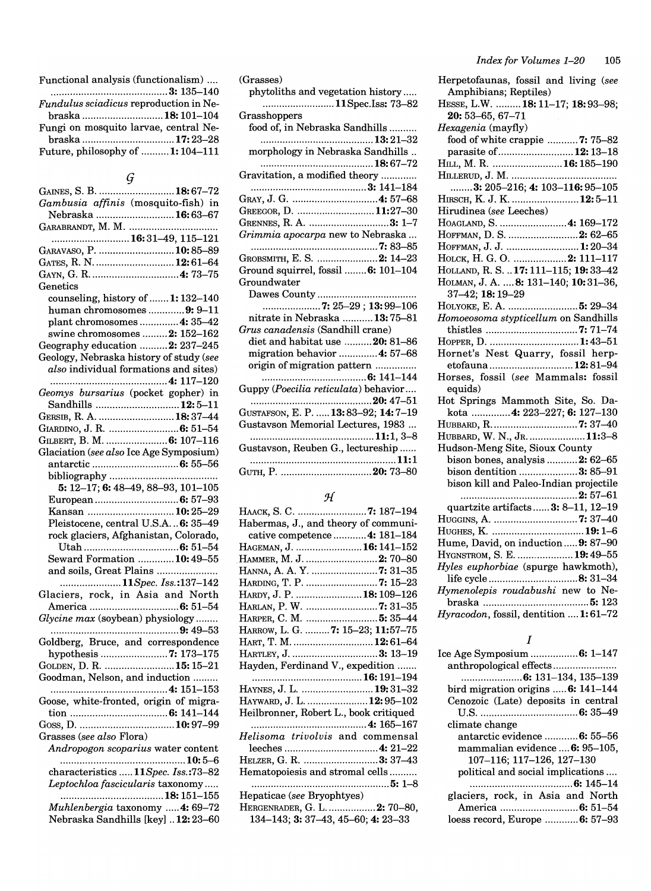| Functional analysis (functionalism)           |
|-----------------------------------------------|
|                                               |
| <i>Fundulus sciadicus</i> reproduction in Ne- |
| braska 18: 101–104                            |
| Fungi on mosquito larvae, central Ne-         |
|                                               |
| Future, philosophy of  1: 104-111             |

# *(j*

| GAINES, S. B.  18:67-72                 |
|-----------------------------------------|
| Gambusia affinis (mosquito-fish) in     |
| Nebraska  16:63-67                      |
|                                         |
| 16:31–49, 115–121                       |
| GARAVASO, P.  10:85-89                  |
| GATES, R. N.  12:61-64                  |
|                                         |
| Genetics                                |
| counseling, history of  1: 132-140      |
| human chromosomes 9: 9-11               |
| plant chromosomes  4: 35-42             |
| swine chromosomes  2: 152-162           |
| Geography education  2: 237-245         |
| Geology, Nebraska history of study (see |
| also individual formations and sites)   |
|                                         |
| Geomys bursarius (pocket gopher) in     |
| Sandhills  12:5-11                      |
| GERSIB, R. A.  18:37-44                 |
| GIARDINO, J. R.  6: 51-54               |
| GILBERT, B. M.  6: 107-116              |
| Glaciation (see also Ice Age Symposium) |
|                                         |
|                                         |
| 5: 12-17; 6: 48-49, 88-93, 101-105      |
| European 6: 57-93                       |
| Kansan  10:25-29                        |
| Pleistocene, central U.S.A 6: 35-49     |
| rock glaciers, Afghanistan, Colorado,   |
|                                         |
| Seward Formation 10:49-55               |
| and soils, Great Plains                 |
| 11Spec. Iss.:137-142                    |
| Glaciers, rock, in Asia and North       |
|                                         |
| Glycine max (soybean) physiology        |
|                                         |
| Goldberg, Bruce, and correspondence     |
| hypothesis 7: 173-175                   |
| GOLDEN, D. R.  15: 15-21                |
| Goodman, Nelson, and induction          |
| 4: 151–153                              |
| Goose, white-fronted, origin of migra-  |
|                                         |
| Grasses (see also Flora)                |
|                                         |
| Andropogon scoparius water content      |
| characteristics  11Spec. Iss.:73-82     |
| Leptochloa fascicularis taxonomy        |
|                                         |
| Muhlenbergia taxonomy  4: 69-72         |
|                                         |

|  | Nebraska Sandhills [key]  12: 23-60 |
|--|-------------------------------------|

| $\left( \mathrm{Grasses}\right)$         |
|------------------------------------------|
| phytoliths and vegetation history        |
| 11Spec.Iss: 73–82                        |
| Grasshoppers                             |
| food of, in Nebraska Sandhills           |
|                                          |
|                                          |
| morphology in Nebraska Sandhills         |
|                                          |
| Gravitation, a modified theory           |
|                                          |
| Gray, J. G. …………………………4: 57–68           |
| GREEGOR, D. 11:27–30                     |
| GRENNES, R. A. 3: 1–7                    |
| <i>Grimmia apocarpa</i> new to Nebraska  |
|                                          |
|                                          |
| GROBSMITH, E. S.  2: 14–23               |
| Ground squirrel, fossil  6: 101–104      |
| Groundwater                              |
|                                          |
| 7: 25-29; 13:99-106                      |
| nitrate in Nebraska 13:75-81             |
| <i>Grus canadensis (Sa</i> ndhill crane) |
| diet and habitat use 20: 81-86           |
| migration behavior  4: 57-68             |
| origin of migration pattern              |
|                                          |
| Guppy (Poecilia reticulata) behavior     |
|                                          |
|                                          |
| GUSTAFSON, E. P.  13:83-92; 14:7-19      |
| Gustavson Memorial Lectures, 1983        |
|                                          |
| Gustavson, Reuben G., lectureship        |
|                                          |
| GUTH, P. 20: 73–80                       |
|                                          |

# *:J{*

| Нааск, S. C.  7: 187–194                         |
|--------------------------------------------------|
| Habermas, J., and theory of communi-             |
| cative competence  4: 181-184                    |
| Hageman, J.  16: 141–152                         |
| Hammer, M. J. 2: 70–80                           |
| Hanna, A. A. Y. 7: 31–35                         |
| HARDING, T. P. 7: 15–23                          |
| Hardy, J. P. 18:109–126                          |
| Harlan, P. W. 7: 31–35                           |
| HARPER, C. M.  5: 35–44                          |
| HARROW, L. G. 7: 15-23; 11:57-75                 |
| HART, T. M. 12:61-64                             |
| HARTLEY, J. 3: 13-19                             |
| Hayden, Ferdinand V., expedition                 |
|                                                  |
| HAYNES, J. L. <b>19:</b> 31–32                   |
| HAYWARD, J. L. 12:95-102                         |
| Heilbronner, Robert L., book critiqued           |
|                                                  |
| Helisoma trivolvis and commensal                 |
|                                                  |
| HELZER, G. R. 3: 37-43                           |
| Hematopoiesis and stromal cells                  |
|                                                  |
| Hepaticae (see Bryophtyes)                       |
| HERGENRADER, G. L.  2: 70-80,                    |
| 134–143; <b>3:</b> 37–43, 45–60; <b>4:</b> 23–33 |

| Herpetofaunas, fossil and living (see  |
|----------------------------------------|
| Amphibians; Reptiles)                  |
| HESSE, L.W.  18: 11-17; 18: 93-98;     |
| 20: 53-65, 67-71                       |
| Hexagenia (mayfly)                     |
| food of white crappie  7: 75-82        |
| parasite of 12:13-18                   |
| HILL, M. R. 16:185-190                 |
|                                        |
| 3: 205-216; 4: 103-116: 95-105         |
| HIRSCH, K. J. K.  12:5-11              |
| Hirudinea (see Leeches)                |
| HOAGLAND, S.  4: 169-172               |
| HOFFMAN, D. S.  2: 62-65               |
| HOFFMAN, J. J.  1:20-34                |
| Ноlск, Н. G. O.  2: 111-117            |
| HOLLAND, R. S.  17: 111-115; 19: 33-42 |
| HOLMAN, J. A.  8: 131-140; 10:31-36,   |
| 37-42; 18:19-29                        |
| Ногуоке, Е. А.  5: 29-34               |
| Homoeosoma stypticellum on Sandhills   |
|                                        |
| HOPPER, D. 1:43-51                     |
| Hornet's Nest Quarry, fossil herp-     |
| etofauna  12:81-94                     |
| Horses, fossil (see Mammals: fossil    |
| equids)                                |
| Hot Springs Mammoth Site, So. Da-      |
| kota  4: 223-227; 6: 127-130           |
| HUBBARD, R. 7: 37-40                   |
| HUBBARD, W. N., JR.  11:3-8            |
| Hudson-Meng Site, Sioux County         |
| bison bones, analysis  2: 62-65        |
| bison dentition 3: 85-91               |
| bison kill and Paleo-Indian projectile |
|                                        |
| quartzite artifacts 3: 8-11, 12-19     |
|                                        |
| HUGHES, K.  19:1-6                     |
| Hume, David, on induction  9: 87-90    |
| HYGNSTROM, S. E.  19:49-55             |
| Hyles euphorbiae (spurge hawkmoth),    |
| life cycle8: 31-34                     |
| Hymenolepis roudabushi new to Ne-      |
|                                        |

# *Hyracodon,* fossil, dentition .... 1: 61-72 I

| ce Age Symposium 6: 1–147           |
|-------------------------------------|
| anthropological effects             |
|                                     |
| bird migration origins  6: 141-144  |
| Cenozoic (Late) deposits in central |
|                                     |
| climate change                      |
| antarctic evidence  6: 55–56        |
| mammalian evidence  6: 95–105.      |
| 107-116: 117-126, 127-130           |
| political and social implications   |
|                                     |
| glaciers, rock, in Asia and North   |
|                                     |
| loess record, Europe 6: 57–93       |
|                                     |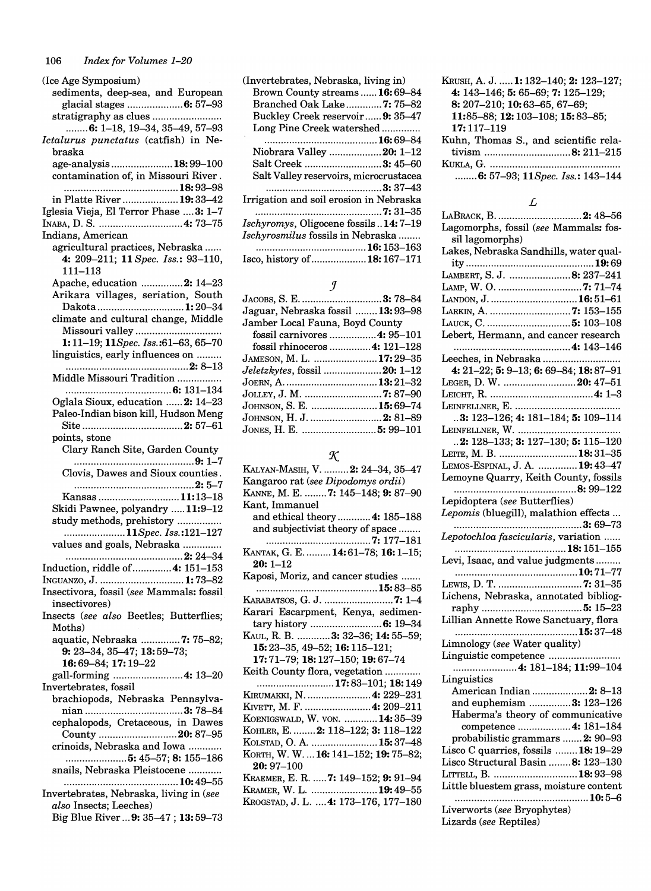| (Ice Age Symposium)                      |
|------------------------------------------|
| sediments, deep-sea, and European        |
| glacial stages  6: 57-93                 |
| stratigraphy as clues                    |
| $\ldots$ $6: 1-18, 19-34, 35-49, 57-93$  |
| Ictalurus punctatus (catfish) in Ne-     |
| braska                                   |
| age-analysis18:99-100                    |
| contamination of, in Missouri River.     |
|                                          |
| in Platte River <b>19:</b> 33–42         |
| Iglesia Vieja, El Terror Phase  3: 1-7   |
|                                          |
| Indians, American                        |
| agricultural practices, Nebraska         |
| 4: 209-211; 11 Spec. Iss.: 93-110,       |
| $111 - 113$                              |
| Apache, education 2: 14-23               |
| Arikara villages, seriation, South       |
| Dakota 1:20-34                           |
| climate and cultural change, Middle      |
|                                          |
| Missouri valley                          |
| 1:11-19; 11Spec. Iss.:61-63, 65-70       |
| linguistics, early influences on         |
|                                          |
| Middle Missouri Tradition                |
|                                          |
| Oglala Sioux, education  2: 14-23        |
| Paleo-Indian bison kill, Hudson Meng     |
|                                          |
| points, stone                            |
| Clary Ranch Site, Garden County          |
|                                          |
| Clovis, Dawes and Sioux counties.        |
|                                          |
| Kansas 11:13–18                          |
| Skidi Pawnee, polyandry 11:9-12          |
| study methods, prehistory                |
| 11Spec. Iss.:121-127                     |
| values and goals, Nebraska               |
|                                          |
| Induction, riddle of  4: 151-153         |
| INGUANZO, J.  1:73-82                    |
| Insectivora, fossil (see Mammals: fossil |
| insectivores)                            |
|                                          |
| Insects (see also Beetles; Butterflies;  |
| Moths)                                   |
| aquatic, Nebraska 7: 75-82;              |
| 9: 23-34, 35-47; 13: 59-73;              |
| 16:69-84; 17:19-22                       |
| gall-forming  4: 13-20                   |
| Invertebrates, fossil                    |
| brachiopods, Nebraska Pennsylva-         |
|                                          |
| cephalopods, Cretaceous, in Dawes        |
| County 20: 87-95                         |
| crinoids, Nebraska and Iowa              |
| 5: 45–57; 8: 155–186                     |
| snails, Nebraska Pleistocene             |
|                                          |
| Invertebrates, Nebraska, living in (see  |
| also Insects; Leeches)                   |
| Big Blue River  9: 35-47; 13:59-73       |
|                                          |

| (Invertebrates, Nebraska, living in)         |  |
|----------------------------------------------|--|
| Brown County streams  16:69–84               |  |
| Branched Oak Lake7: 75-82                    |  |
| Buckley Creek reservoir 9: 35–47             |  |
| Long Pine Creek watershed                    |  |
|                                              |  |
| Niobrara Valley 20: 1–12                     |  |
| Salt Creek 3: 45–60                          |  |
| Salt Valley reservoirs, microcrustacea       |  |
|                                              |  |
| Irrigation and soil erosion in Nebraska      |  |
|                                              |  |
| <i>Ischyromys</i> , Oligocene fossils14:7–19 |  |
| <i>Ischyrosmilus</i> fossils in Nebraska     |  |
|                                              |  |
| Isco, history of  18: 167–171                |  |

# *J*

| Jaguar, Nebraska fossil  13: 93–98   |  |
|--------------------------------------|--|
| Jamber Local Fauna, Boyd County      |  |
| fossil carnivores  4: 95-101         |  |
| fossil rhinoceros 4: 121–128         |  |
| JAMESON, M. L. 17:29–35              |  |
| <i>Jeletzkytes</i> , fossil 20: 1–12 |  |
|                                      |  |
|                                      |  |
| JOHNSON, S. E. 15:69–74              |  |
| JOHNSON, H. J. 2: 81-89              |  |
|                                      |  |

# $\boldsymbol{\mathcal{K}}$

| Kalyan-Masih, V. 2: 24–34, 35–47      |
|---------------------------------------|
| Kangaroo rat (see Dipodomys ordii)    |
| KANNE, M. E. 7: 145–148; 9: 87–90     |
| Kant, Immanuel                        |
| and ethical theory  4: 185-188        |
| and subjectivist theory of space      |
|                                       |
| KANTAK, G. E. 14:61-78; 16:1-15;      |
| $20:1 - 12$                           |
| Kaposi, Moriz, and cancer studies     |
|                                       |
| KARABATSOS, G. J. 7: 1–4              |
| Karari Escarpment, Kenya, sedimen-    |
|                                       |
| KAUL, R. B.  3: 32–36; 14: 55–59;     |
| 15: 23-35, 49-52; 16: 115-121;        |
| 17:71-79; 18:127-150; 19:67-74        |
| Keith County flora, vegetation        |
|                                       |
| 17:83–101; 18:149                     |
| Kirumakki, N.  4: 229–231             |
| KIVETT, M. F. 4: 209–211              |
| KOENIGSWALD, W. VON. 14:35–39         |
| KOHLER, E.  2: 118-122; 3: 118-122    |
| KOLSTAD, O. A.  15:37-48              |
| KORTH, W. W.  16: 141-152; 19: 75-82; |
| $20:97 - 100$                         |
| Kraemer, E. R. 7: 149–152; 9: 91–94   |
| Kramer, W. L. 19:49-55                |
| Krogstad, J. L.  4: 173–176, 177–180  |

| KRUSH, A. J.  1: 132-140: 2: 123-127: |
|---------------------------------------|
| 4: $143-146$ ; 5: 65-69; 7: 125-129;  |
| 8: 207-210; 10: 63-65, 67-69;         |
| 11:85-88; 12:103-108; 15:83-85;       |
| $17:117 - 119$                        |
| Kuhn, Thomas S., and scientific rela- |
|                                       |

tivism ............................... 8: 211-215 KUKLA, G ............................................... . ........ 6: 57-93; 11 *Spec. Iss.: 143-144* 

### L

| L                                                   |
|-----------------------------------------------------|
|                                                     |
|                                                     |
|                                                     |
| sil lagomorphs)                                     |
| Lakes, Nebraska Sandhills, water qual-              |
|                                                     |
| LAMBERT, S. J. 8: 237-241                           |
| LAMP, W. O. 7: 71-74                                |
|                                                     |
| LANDON, J.  16:51–61                                |
| LARKIN, A. 7: 153-155                               |
|                                                     |
| Lebert, Hermann, and cancer research                |
|                                                     |
| Leeches, in Nebraska                                |
| 4: 21-22; 5: 9-13; 6: 69-84; 18: 87-91              |
| LEGER, D. W. 20: 47-51                              |
|                                                     |
|                                                     |
|                                                     |
| $3: 123-126; 4: 181-184; 5: 109-114$                |
|                                                     |
| 2: 128-133; 3: 127-130; 5: 115-120                  |
| LEITE, M. B.  18:31-35                              |
| LEMOS-ESPINAL, J. A.  19:43-47                      |
|                                                     |
| Lemoyne Quarry, Keith County, fossils               |
|                                                     |
| Lepidoptera (see Butterflies)                       |
| Lepomis (bluegill), malathion effects               |
| 3: 69–73                                            |
| Lepotochloa fascicularis, variation                 |
|                                                     |
| Levi, Isaac, and value judgments                    |
|                                                     |
|                                                     |
|                                                     |
| Lichens, Nebraska, annotated bibliog-               |
|                                                     |
| Lillian Annette Rowe Sanctuary, flora               |
|                                                     |
| Limnology (see Water quality)                       |
|                                                     |
|                                                     |
| 4: 181–184; 11:99–104                               |
| Linguistics                                         |
|                                                     |
| American Indian 2: 8-13<br>and euphemism 3: 123-126 |
| Haberma's theory of communicative                   |
| competence  4: 181-184                              |
| probabilistic grammars  2: 90-93                    |
|                                                     |
| Lisco C quarries, fossils  18: 19-29                |
| Lisco Structural Basin  8: 123-130                  |
| LITTELL, B.  18:93-98                               |
| Little bluestem grass, moisture content             |
| 10: 5–6                                             |
| Liverworts (see Bryophytes)                         |
|                                                     |

Lizards *(see* Reptiles)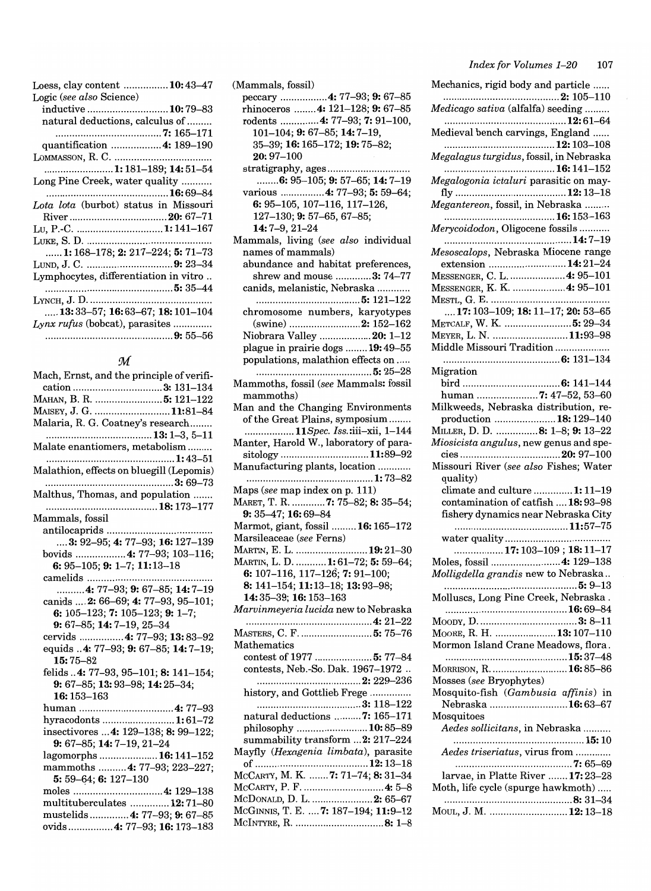| Loess, clay content 10:43–47                           |
|--------------------------------------------------------|
| Logic (see also Science)                               |
| inductive <b>10:</b> 79–83                             |
| natural deductions, calculus of                        |
|                                                        |
| quantification  4: 189–190                             |
|                                                        |
| 1: 181–189; 14: 51–54                                  |
| Long Pine Creek, water quality                         |
|                                                        |
| Lota lota (burbot) status in Missouri                  |
|                                                        |
| Lu, P.-C. 1:141–167                                    |
|                                                        |
| <b>1:</b> 168–178; <b>2:</b> 217–224; <b>5:</b> 71–73  |
| LUND, J. C. 9: 23–34                                   |
| Lymphocytes, differentiation in vitro                  |
|                                                        |
|                                                        |
| <b>13:</b> 33–57; <b>16:</b> 63–67; <b>18:</b> 101–104 |
| Lynx rufus (bobcat), parasites                         |
|                                                        |

### *:M*

| Mach, Ernst, and the principle of verifi- |
|-------------------------------------------|
| cation 3: 131-134                         |
| Манан, В. R.  5: 121–122                  |
| MAISEY, J. G. 11:81-84                    |
| Malaria, R. G. Coatney's research         |
|                                           |
| Malate enantiomers, metabolism            |
|                                           |
| Malathion, effects on bluegill (Lepomis)  |
|                                           |
| Malthus, Thomas, and population           |
|                                           |
| Mammals, fossil                           |
|                                           |
| 3: 92-95; 4: 77-93; 16: 127-139           |
| bovids  4: 77-93; 103-116;                |
| 6: 95-105; 9: 1-7; 11:13-18               |
|                                           |
| 4: 77-93; 9: 67-85; 14: 7-19              |
| canids  2: 66-69; 4: 77-93, 95-101;       |
| 6: 105-123; 7: 105-123; 9: 1-7;           |
| 9: 67-85; 14: 7-19, 25-34                 |
| cervids  4: 77-93; 13:83-92               |
| equids 4: 77-93; 9: 67-85; 14: 7-19;      |
| $15:75 - 82$                              |
| felids 4: 77-93, 95-101; 8: 141-154;      |
| 9: 67-85; 13: 93-98; 14: 25-34;           |
| 16: 153-163                               |
|                                           |
| hyracodonts  1:61-72                      |
| insectivores  4: 129-138; 8: 99-122;      |
| 9: 67-85; 14: 7-19, 21-24                 |
| lagomorphs 16:141-152                     |
| mammoths  4: 77-93; 223-227;              |
| 5: 59-64; 6: 127-130                      |
|                                           |
| multituberculates  12:71-80               |
| mustelids 4: 77-93; 9: 67-85              |
| ovids 4: 77–93: 16: 173–183               |

(Mammals, fossil) peccary ................ .4: 77-93; 9: 67-85 rhinoceros ........ 4: 121-128; 9: 67-85 rodents ............. .4: 77-93; 7: 91-100, 101-104; 9:67-85; 14:7-19, 35-39; 16:165-172;19:75-82; 20:97-100 stratigraphy, ages ............................. .  $\ldots$ .... $6: 95-105$ ; 9: 57-65; 14: 7-19 various ................ 4: 77-93; 5: 59-64; 6:95-105,107-116,117-126, 127-130; 9:57-65, 67-85; 14:7-9,21-24 Mammals, living *(see also* individual names of mammals) abundance and habitat preferences, shrew and mouse ............. 3: 74-77 canids, melanistic, Nebraska ........... . ...................................... 5: 121-122 chromosome numbers, karyotypes (swine) .......................... 2: 152-162 Niobrara Valley ................... 20: 1-12 plague in prairie dogs ........ 19: 49-55 populations, malathion effects on ..... .......................................... 5: 25-28 Mammoths, fossil *(see* Mammals: fossil mammoths) Man and the Changing Environments of the Great Plains, symposium ....... . *. ................. 11Spec.* Iss.:iii-xii, 1-144 Manter, Harold W., laboratory of parasitology ................................ 11:89-92 Manufacturing plants, location ........... . .............................................. 1:73-82 Maps *(see* map index on p. 111) MARET, T. R. ............ 7: 75-82; 8: 35-54; 9:35-47;16:69-84 Marmot, giant, fossil ......... 16: 165-172 Marsileaceae *(see* Ferns) MARTIN, E. L. ..........................19:21-30 MARTIN, L. D. ........... 1:61-72; 5:59-64; 6: 107-116, 117-126; 7: 91-100; 8: 141-154;11:13-18; 13:93-98; 14:35-39; 16:153-163 *Marvinmeyeria lucida* new to Nebraska .............................................. 4: 21-22 MASTERS, C. F. .............................. 5: 75-76 Mathematics contest of 1977 ..................... 5: 77-84 contests, Neb.-So. Dak. 1967-1972 .. ...................................... 2: 229-236 history, and Gottlieb Frege .............. . ...................................... 3: 118-122 natural deductions .......... 7: 165-171 philosophy .......................... 10: 85-89 summability transform ... 2: 217-224 Mayfly *(Hexagenia limbata),* parasite of ......................................... 12: 13-18 MCCARTY, M. K. ....... 7: 71-74; 8: 31-34 MCCARTY, P. F ............................. .4: 5-8 McDonald, D. L. ........................ 2: 65-67 McGINNIS, T. E. .... 7: 187-194; 11:9-12 McINTYRE, R. ................................ 8: 1-8

| Mechanics, rigid body and particle                                       |
|--------------------------------------------------------------------------|
| Medicago sativa (alfalfa) seeding                                        |
| Medieval bench carvings, England                                         |
|                                                                          |
| Megalagus turgidus, fossil, in Nebraska                                  |
| Megalogonia ictaluri parasitic on may-                                   |
| Megantereon, fossil, in Nebraska                                         |
|                                                                          |
| Merycoidodon, Oligocene fossils                                          |
| 14:7–19<br>Mesoscalops, Nebraska Miocene range                           |
| extension  14:21-24                                                      |
| MESSENGER, C. L.  4: 95-101                                              |
| MESSENGER, K. K.  4: 95-101                                              |
|                                                                          |
| 17: 103-109; 18: 11-17; 20: 53-65                                        |
| METCALF, W. K.  5: 29-34                                                 |
| MEYER, L. N. 11:93-98<br>Middle Missouri Tradition                       |
|                                                                          |
| Migration                                                                |
|                                                                          |
| human 7: 47-52, 53-60                                                    |
| Milkweeds, Nebraska distribution, re-                                    |
| production  18:129-140                                                   |
| MILLER, D. D. 8: 1-8; 9: 13-22                                           |
| Miosicista angulus, new genus and spe-                                   |
| Missouri River (see also Fishes; Water                                   |
| quality)                                                                 |
| climate and culture  1: 11-19<br>contamination of catfish  18:93-98      |
| fishery dynamics near Nebraska City                                      |
|                                                                          |
|                                                                          |
| 17: 103–109 ; 18: 11–17                                                  |
| Moles, fossil  4: 129-138                                                |
| Molligdella grandis new to Nebraska                                      |
| Molluscs, Long Pine Creek, Nebraska.                                     |
|                                                                          |
|                                                                          |
| MOORE, R. H.  13:107-110                                                 |
| Mormon Island Crane Meadows, flora.                                      |
|                                                                          |
| MORRISON, R.  16:85-86                                                   |
| Mosses (see Bryophytes)<br>Mosquito-fish (Gambusia affinis) in           |
| Nebraska  16:63–67                                                       |
| Mosquitoes                                                               |
| Aedes sollicitans, in Nebraska                                           |
|                                                                          |
| Aedes triseriatus, virus from                                            |
|                                                                          |
| larvae, in Platte River  17: 23-28<br>Moth, life cycle (spurge hawkmoth) |
|                                                                          |
| MOUL, J. M.  12: 13-18                                                   |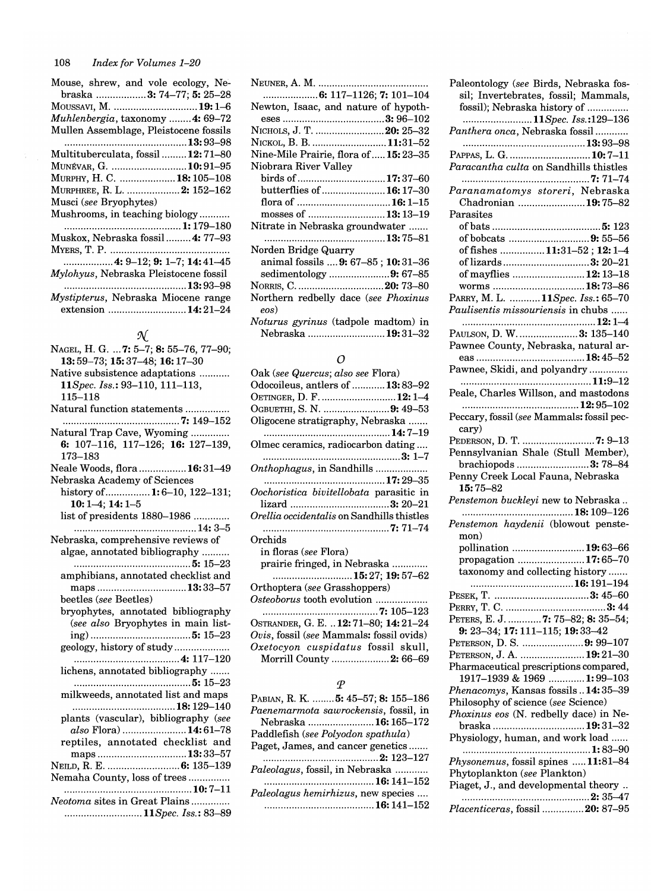| Mouse, shrew, and vole ecology, Ne-     |
|-----------------------------------------|
| braska  3: 74-77; 5: 25-28              |
| Moussavi, M. 19:1–6                     |
| <i>Muhlenbergia</i> , taxonomy 4: 69–72 |
| Mullen Assemblage, Pleistocene fossils  |
|                                         |
| Multituberculata, fossil 12:71-80       |
| Munévar, G. 10:91–95                    |
| MURPHY, H. C.  18: 105-108              |
| MURPHREE, R. L.  2: 152-162             |
| Musci (see Bryophytes)                  |
| Mushrooms, in teaching biology          |
|                                         |
| Muskox, Nebraska fossil 4: 77-93        |
|                                         |
|                                         |
| Mylohyus, Nebraska Pleistocene fossil   |
|                                         |
| Mystipterus, Nebraska Miocene range     |
| extension 14:21-24                      |

| N                                      |
|----------------------------------------|
| NAGEL, H. G.  7: 5-7; 8: 55-76, 77-90; |
| 13:59-73; 15:37-48; 16:17-30           |
| Native subsistence adaptations         |
| 11Spec. Iss.: 93-110, 111-113,         |
| 115-118                                |
| Natural function statements            |
|                                        |
| Natural Trap Cave, Wyoming             |
| 6: 107-116, 117-126; 16: 127-139,      |
| 173-183                                |
| Neale Woods, flora  16:31-49           |
| Nebraska Academy of Sciences           |
| history of  1:6-10, 122-131;           |
| $10:1-4; 14:1-5$                       |
| list of presidents 1880-1986           |
|                                        |
| Nebraska, comprehensive reviews of     |
| algae, annotated bibliography          |
|                                        |
| amphibians, annotated checklist and    |
| maps13:33-57<br>beetles (see Beetles)  |
| bryophytes, annotated bibliography     |
| (see also Bryophytes in main list-     |
|                                        |
| geology, history of study              |
|                                        |
| lichens, annotated bibliography        |
|                                        |
| milkweeds, annotated list and maps     |
| 18:129-140                             |
| plants (vascular), bibliography (see   |
| also Flora)14:61-78                    |
| reptiles, annotated checklist and      |
| maps13:33-57                           |
| NEILD, R. E.  6: 135-139               |
| Nemaha County, loss of trees           |
|                                        |
| Neotoma sites in Great Plains          |
| 11Spec. Iss.: 83–89                    |

| Newton, Isaac, and nature of hypoth-                            |
|-----------------------------------------------------------------|
|                                                                 |
| NICHOLS, J. T.  20: 25-32                                       |
| NICKOL, B. B. 11:31-52                                          |
| Nine-Mile Prairie, flora of  15: 23-35                          |
| Niobrara River Valley                                           |
| birds of 17:37–60                                               |
| butterflies of  16: 17-30                                       |
| flora of …………………………… <b>16:</b> 1–15                            |
| mosses of 13:13–19                                              |
| Nitrate in Nebraska groundwater                                 |
|                                                                 |
| Norden Bridge Quarry                                            |
| animal fossils <b>9:</b> 67–85 ; <b>10:</b> 31–36               |
| sedimentology 9: 67–85                                          |
| NORRIS, C. 20: 73–80                                            |
| Northern redbelly dace (see Phoxinus<br>eos)                    |
| <i>Noturus gyrinus</i> (tadpole madtom) in<br>Nebraska 19:31-32 |

# o

| Oak (see Quercus; also see Flora)<br>Odocoileus, antlers of  13:83–92 |
|-----------------------------------------------------------------------|
| OETINGER, D. F.  12: 1–4                                              |
| OGBUETHI, S. N. 9: 49-53                                              |
| Oligocene stratigraphy, Nebraska                                      |
|                                                                       |
| Olmec ceramics, radiocarbon dating                                    |
|                                                                       |
| Onthophagus, in Sandhills                                             |
|                                                                       |
| Oochoristica bivitellobata parasitic in                               |
|                                                                       |
| Orellia occidentalis on Sandhills thistles                            |
|                                                                       |
|                                                                       |
| Orchids                                                               |
| in floras (see Flora)                                                 |
| prairie fringed, in Nebraska                                          |
| 15: 27; 19: 57–62                                                     |
| Orthoptera (see Grasshoppers)                                         |
| $\it Osteoborus$ tooth evolution                                      |
|                                                                       |
| OSTRANDER, G. E.  12: 71-80; 14: 21-24                                |
| Ovis, fossil (see Mammals: fossil ovids)                              |
| Oxetocyon cuspidatus fossil skull,                                    |
| Morrill County  2: 66-69                                              |
|                                                                       |
|                                                                       |

## *P*

| Paleontology (see Birds, Nebraska fos-<br>sil; Invertebrates, fossil; Mammals,<br>fossil); Nebraska history of |
|----------------------------------------------------------------------------------------------------------------|
| 11Spec. Iss.:129–136<br>Panthera onca, Nebraska fossil                                                         |
|                                                                                                                |
| PAPPAS, L. G. 10:7-11                                                                                          |
| Paracantha culta on Sandhills thistles                                                                         |
|                                                                                                                |
| Paranamatomys storeri, Nebraska                                                                                |
| Chadronian 19:75-82<br>Parasites                                                                               |
|                                                                                                                |
| of bobcats 9: 55-56                                                                                            |
| of fishes  11:31-52; 12:1-4                                                                                    |
| of lizards3: 20–21                                                                                             |
| of mayflies  12: 13-18                                                                                         |
| worms 18:73-86                                                                                                 |
| PARRY, M. L. 11Spec. Iss.: 65-70                                                                               |
| Paulisentis missouriensis in chubs                                                                             |
|                                                                                                                |
| PAULSON, D. W.  3: 135-140                                                                                     |
| Pawnee County, Nebraska, natural ar-                                                                           |
|                                                                                                                |
| Pawnee, Skidi, and polyandry                                                                                   |
| Peale, Charles Willson, and mastodons                                                                          |
|                                                                                                                |
| Peccary, fossil (see Mammals: fossil pec-                                                                      |
| cary)                                                                                                          |
| cary)<br>PEDERSON, D. T. 7: 9–13                                                                               |
| Pennsylvanian Shale (Stull Member),                                                                            |
| brachiopods  3: 78-84                                                                                          |
| Penny Creek Local Fauna, Nebraska                                                                              |
| $15:75 - 82$                                                                                                   |
| Penstemon buckleyi new to Nebraska                                                                             |
|                                                                                                                |
| Penstemon haydenii (blowout penste-<br>mon)                                                                    |
| pollination  19:63-66                                                                                          |
| propagation 17:65-70                                                                                           |
| taxonomy and collecting history                                                                                |
| 16:191–194                                                                                                     |
|                                                                                                                |
|                                                                                                                |
|                                                                                                                |
| 9: 23-34; 17: 111-115; 19: 33-42                                                                               |
| PETERSON, D. S. 9: 99-107                                                                                      |
| PETERSON, J. A.  19:21-30                                                                                      |
| Pharmaceutical prescriptions compared,                                                                         |
| 1917-1939 & 1969  1:99-103                                                                                     |
| Phenacomys, Kansas fossils  14:35-39                                                                           |
| Philosophy of science (see Science)<br>Phoxinus eos (N. redbelly dace) in Ne-                                  |
| braska  19:31–32                                                                                               |
| Physiology, human, and work load                                                                               |
|                                                                                                                |
| Physonemus, fossil spines 11:81-84                                                                             |
| Phytoplankton (see Plankton)                                                                                   |
| Piaget, J., and developmental theory                                                                           |
|                                                                                                                |
| <i>Placenticeras, fossil </i> 20: 87–95                                                                        |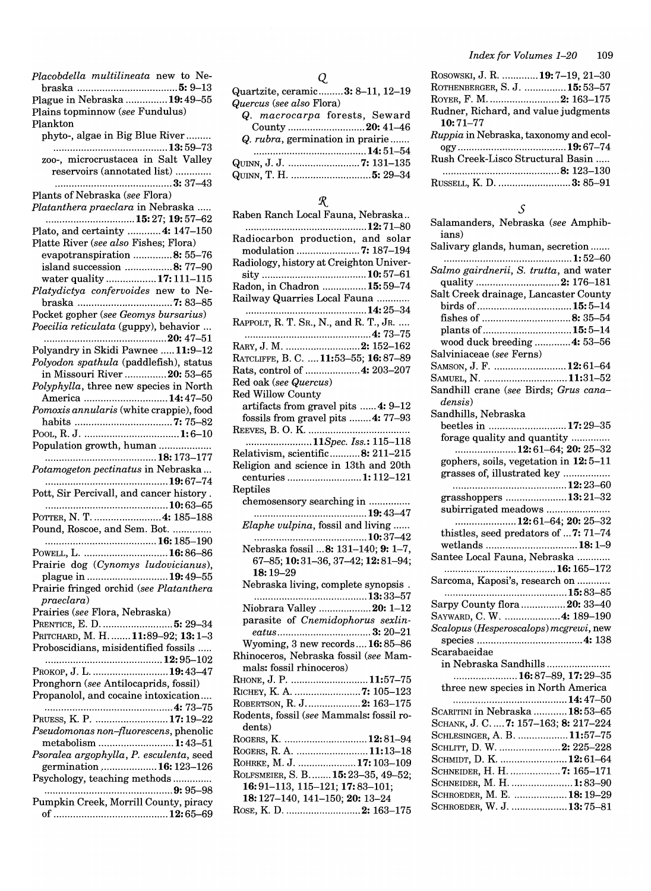| Placobdella multilineata new to Ne-                                           |
|-------------------------------------------------------------------------------|
| Plague in Nebraska  19:49-55                                                  |
| Plains topminnow (see Fundulus)<br>Plankton                                   |
| phyto-, algae in Big Blue River                                               |
|                                                                               |
| zoo-, microcrustacea in Salt Valley                                           |
| reservoirs (annotated list)                                                   |
| Plants of Nebraska (see Flora)                                                |
| Platanthera praeclara in Nebraska                                             |
| Plato, and certainty  4: 147-150                                              |
| Platte River (see also Fishes; Flora)                                         |
| evapotranspiration 8: 55-76<br>island succession 8: 77-90                     |
| water quality  17:111-115                                                     |
| Platydictya confervoides new to Ne-                                           |
|                                                                               |
| Pocket gopher (see Geomys bursarius)<br>Poecilia reticulata (guppy), behavior |
| 20: 47–51                                                                     |
| Polyandry in Skidi Pawnee  11:9-12                                            |
| Polyodon spathula (paddlefish), status                                        |
| in Missouri River  20: 53-65<br>Polyphylla, three new species in North        |
| America 14:47-50                                                              |
| Pomoxis annularis (white crappie), food                                       |
|                                                                               |
| Population growth, human                                                      |
| Potamogeton pectinatus in Nebraska                                            |
| Pott, Sir Percivall, and cancer history.                                      |
|                                                                               |
| POTTER, N. T.  4: 185-188<br>Pound, Roscoe, and Sem. Bot.                     |
| 16: 185–190                                                                   |
| POWELL, L.  16:86-86                                                          |
| Prairie dog (Cynomys ludovicianus),                                           |
| plague in  19:49-55<br>Prairie fringed orchid (see Platanthera                |
| praeclara)                                                                    |
| Prairies (see Flora, Nebraska)                                                |
| PRENTICE, E. D.  5: 29-34<br>PRITCHARD, M. H.  11:89-92; 13:1-3               |
| Proboscidians, misidentified fossils                                          |
|                                                                               |
| Ркокор, J. L. 19:43-47                                                        |
| Pronghorn (see Antilocaprids, fossil)<br>Propanolol, and cocaine intoxication |
|                                                                               |
| PRUESS, K. P.  17:19-22                                                       |
| Pseudomonas non-fluorescens, phenolic                                         |
| metabolism  1:43-51<br>Psoralea argophylla, P. esculenta, seed                |
| germination  16: 123-126                                                      |
| Psychology, teaching methods                                                  |
|                                                                               |

Pumpkin Creek, Morrill County, piracy of ......................................... 12: 65-69

# Q

| Quartzite, ceramic3: 8–11, 12–19 |                                  |
|----------------------------------|----------------------------------|
| Quercus (see also Flora)         |                                  |
|                                  | Q. macrocarpa forests, Seward    |
|                                  | County 20: 41–46                 |
|                                  | Q. rubra, germination in prairie |
|                                  |                                  |
|                                  | Quinn, J. J. 7: 131–135          |
|                                  |                                  |

# $\ensuremath{\mathcal{R}}$

| Raben Ranch Local Fauna, Nebraska                              |
|----------------------------------------------------------------|
|                                                                |
| Radiocarbon production, and solar<br>modulation  7: 187-194    |
| Radiology, history at Creighton Univer-                        |
|                                                                |
|                                                                |
| Radon, in Chadron  15:59–74<br>Railway Quarries Local Fauna    |
|                                                                |
| RAPPOLT, R. T. SR., N., and R. T., JR.                         |
|                                                                |
| RARY, J. M. 2: 152–162                                         |
| RATCLIFFE, B. C.  11:53-55; 16:87-89                           |
| Rats, control of 4: 203–207                                    |
| Red oak (see Quercus)                                          |
| Red Willow County                                              |
| artifacts from gravel pits  4: 9-12                            |
| fossils from gravel pits  4: 77-93                             |
|                                                                |
| 11Spec. Iss.: 115-118                                          |
| Relativism, scientific8: 211–215                               |
| Religion and science in 13th and 20th                          |
| centuries 1:112-121                                            |
| Reptiles                                                       |
| chemosensory searching in                                      |
|                                                                |
| Elaphe vulpina, fossil and living                              |
|                                                                |
| Nebraska fossil  8: 131-140; 9: 1-7,                           |
| 67-85; 10:31-36, 37-42; 12:81-94;                              |
| 18:19-29                                                       |
| Nebraska living, complete synopsis.                            |
|                                                                |
| Niobrara Valley  20: 1-12<br>parasite of Cnemidophorus sexlin- |
|                                                                |
| Wyoming, 3 new records 16:85-86                                |
| Rhinoceros, Nebraska fossil (see Mam-                          |
| mals: fossil rhinoceros)                                       |
| Rhone, J. P. 11:57–75                                          |
|                                                                |
| ROBERTSON, R. J.  2: 163–175                                   |
| Rodents, fossil (see Mammals: fossil ro-                       |
| dents)                                                         |
| ROGERS, K. 12:81-94                                            |
| ROGERS, R. A. 11:13-18                                         |
| ROHRKE, M. J. 17:103-109                                       |
| ROLFSMEIER, S. B 15: 23-35, 49-52;                             |
| 16:91-113, 115-121; 17:83-101;                                 |
| 18: 127-140, 141-150; 20: 13-24                                |
| ROSE, K. D. 2: 163–175                                         |
|                                                                |

| ROSOWSKI, J. R. 19: 7–19, 21–30               |
|-----------------------------------------------|
| ROTHENBERGER, S. J.  15:53-57                 |
| ROYER, F. M.  2: 163-175                      |
| Rudner, Richard, and value judgments          |
| $10:71 - 77$                                  |
| <i>Ruppia</i> in Nebraska, taxonomy and ecol- |
|                                               |
| Rush Creek-Lisco Structural Basin             |
|                                               |
| RUSSELL, K. D. 3: 85–91                       |

### $\mathcal{S}_{0}$

| Salamanders, Nebraska (see Amphib-<br>ians) |
|---------------------------------------------|
| Salivary glands, human, secretion           |
| Salmo gairdnerii, S. trutta, and water      |
|                                             |
| quality 2: 176-181                          |
| Salt Creek drainage, Lancaster County       |
|                                             |
| fishes of 8: 35–54                          |
| plants of  15:5-14                          |
| wood duck breeding  4: 53-56                |
| Salviniaceae (see Ferns)                    |
| SAMSON, J. F.  12:61-64                     |
|                                             |
| SAMUEL, N. 11:31-52                         |
| Sandhill crane (see Birds; Grus cana-       |
| densis)                                     |
| Sandhills, Nebraska                         |
| beetles in  17:29-35                        |
| forage quality and quantity                 |
| 12:61–64; 20: 25–32                         |
|                                             |
| gophers, soils, vegetation in 12:5-11       |
| grasses of, illustrated key                 |
|                                             |
| grasshoppers 13:21-32                       |
| subirrigated meadows                        |
| 12:61–64; 20: 25–32                         |
| thistles, seed predators of  7: 71-74       |
| wetlands  18:1-9                            |
| Santee Local Fauna, Nebraska                |
|                                             |
|                                             |
| Sarcoma, Kaposi's, research on              |
|                                             |
| Sarpy County flora  20: 33-40               |
| SAYWARD, C. W.  4: 189-190                  |
| Scalopus (Hesperoscalops) mcgrewi, new      |
|                                             |
| Scarabaeidae                                |
| in Nebraska Sandhills                       |
|                                             |
| 16:87-89, 17:29-35                          |
| three new species in North America          |
|                                             |
| SCARITINI in Nebraska  18:53–65             |
| SCHANK, J. C.  7: 157-163; 8: 217-224       |
| SCHLESINGER, A. B. 11:57-75                 |
| SCHLITT, D. W.  2: 225-228                  |
| SCHMIDT, D. K.  12:61-64                    |
| SCHNEIDER, H. H. 7: 165-171                 |
|                                             |
| SCHNEIDER, M. H.  1:83-90                   |
| SCHROEDER, M. E.  18: 19-29                 |
| SCHROEDER, W. J.  13:75-81                  |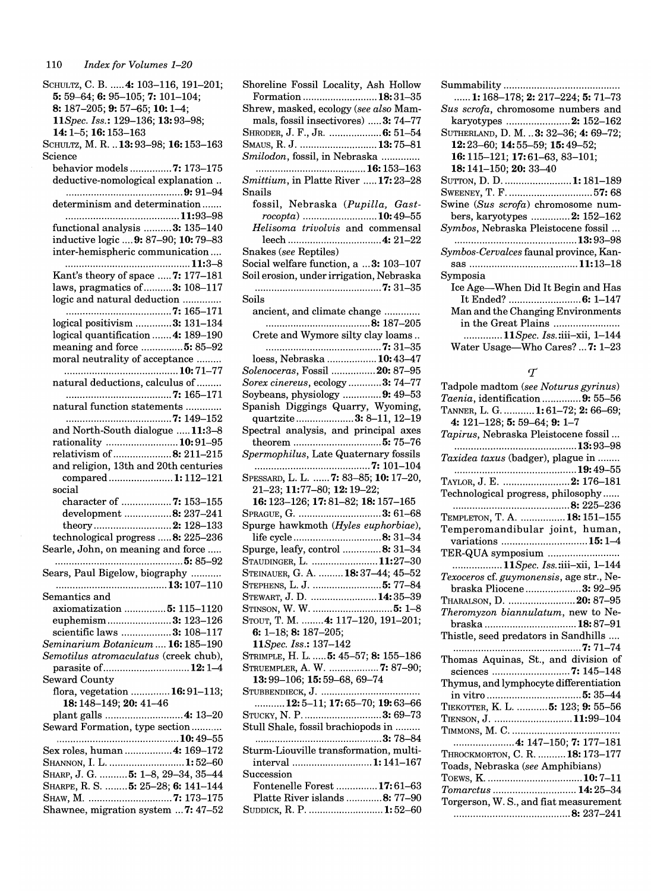SCHULTZ, C. B. ..... 4: 103-116, 191-201; 5:59-64;6:95-105;7: 101-104; 8: 187-205; 9: 57-65; 10: 1-4; *11Spec. Iss.:* 129-136; 13:93-98; 14:1-5; 16:153-163 SCHULTZ, M. R. .. 13: 93-98; 16: 153-163 Science behavior models ............... 7: 173-175 deductive-nomological explanation .. .......................................... 9: 91-94 determinism and determination ...... . ......................................... 11:93-98 functional analysis .......... 3: 135-140 inductive logic .... 9: 87-90; 10: 79-83 inter-hemispheric communication .... ............................................. 11:3-8 Kant's theory of space ..... 7: 177-181 laws, pragmatics of .......... 3: 108-117 logic and natural deduction .............. ...................................... 7: 165-171 logical positivism ............. 3: 131-134 logical quantification ....... 4: 189-190 meaning and force ...............**5:** 85-92 moral neutrality of acceptance ......... ......................................... 10:71-77 natural deductions, calculus of ......... ...................................... 7: 165-171 natural function statements ............ . ...................................... 7: 149-152 and North-South dialogue ..... 11:3-8 rationality .......................... 10: 91-95 relativism of ..................... 8: 211-215 and religion, 13th and 20th centuries compared ....................... 1: 112-121 social character of ................... 7: 153-155 development ................. 8: 237-241 theory ................................**2:** 128–133 technological progress ..... 8: 225-236 Searle, John, on meaning and force ..... .............................................. 5: 85-92 Sears, Paul Bigelow, biography .......... . ........................................ 13:107-110 Semantics and axiomatization ............... 5: 115-1120 euphemism ....................... 3: 123-126 scientific laws .................. 3: 108-117 *Seminarium Botanicum ....* 16: 185-190 *Semotilus atromaculatus* (creek chub), parasite of.. ............................. 12: 1-4 Seward County flora, vegetation .............. 16: 91-113; 18:148-149;20:41-46 plant galls ........................... .4: 13-20 Seward Formation, type section .......... . ............................................ 10: 49-55 Sex roles, human ................ .4: 169-172 SHANNON, I. L. ............................ 1:52-60 SHARP, J. G. .......... 5: 1-8, 29-34, 35-44 SHARPE, R. S. ........ 5: 25-28; 6: 141-144 SHAW, M ............................... 7: 173-175 Shawnee, migration system ... 7: 47-52

Shoreline Fossil Locality, Ash Hollow Formation ........................... 18: 31-35 Shrew, masked, ecology *(see also* Mammals, fossil insectivores) ..... 3: 74-77 SHRODER, J. F., JR. ................... 6: 51–54 SMAUS, R. J. ..............................13:75-81 *Smilodon,* fossil, in Nebraska ............ .. ........................................ 16:153-163 *Smittium,* in Platte River ..... 17: 23-28 Snails fossil, Nebraska *(Pupilla, Gastrocopta)* ........................... 10: 49-55 *Helisoma trivolvis* and commensal leech ................................. .4: 21-22 Snakes *(see* Reptiles) Social welfare function, a ... 3: 103-107 Soil erosion, under irrigation, Nebraska .............................................. 7:31-35 Soils ancient, and climate change ............ . ...................................... 8: 187-205 Crete and Wymore silty clay loams .. .......................................... 7:31-35 loess, Nebraska .................. 10: 43-47 *Solenoceras,* Fossil ................ 20: 87-95 *Sorex cinereus,* ecology ............ 3: 74-77 Soybeans, physiology .............. 9: 49-53 Spanish Diggings Quarry, Wyoming, quartzite ..................... 3: 8-11, 12-19 Spectral analysis, and principal axes theorem ................................ 5: 75-76 *Spermophilus,* Late Quaternary fossils .......................................... 7: 101-104 SPESSARD, L. L. ...... 7: 83-85; 10: 17-20, 21-23; 11:77-80; 12:19-22; 16:123-126;17:81-82; 18:157-165 SPRAGUE, G. ................................3: 61-68 Spurge hawkmoth *(Hyles euphorbiae),*  life cycle ................................ 8: 31-34 Spurge, leafy, control .............. 8: 31-34 STAUDINGER, L. .........................11:27-30 STEINAUER, G. A. ......... 18: 37-44; 45-52 STEPHENS, L. J .......................... 5: 77-84 STEWART, J. D. ........................14:35-39 STINSON, W. W .............................. 5: 1-8 STOUT, T. M. ........ 4: 117-120, 191-201; 6: 1-18;8: 187-205; 11 *Spec. Iss.: 137-142*  STRIMPLE, H. L. ..... 5: 45-57; 8: 155-186 STRUEMPLER, A. W. .................. 7: 87-90; 13:99-106; 15:59-68,69-74 STUBBENDIECK, J .................................... . ........... 12:5-11; 17:65-70; 19:63-66 STUCKY, N. P. ..............................3: 69–73 Stull Shale, fossil brachiopods in ......... .............................................. 3: 78-84 Sturm-Liouville transformation, multiinterval ............................. 1: 141-167 Succession Fontenelle Forest ............... 17: 61-63 Platte River islands ............. 8: 77-90 SUDDICK, R. P. ............................. 1:52-60

| <b>1:</b> 168–178; <b>2:</b> 217–224; <b>5:</b> 71–73                                 |
|---------------------------------------------------------------------------------------|
| Sus scrofa, chromosome numbers and                                                    |
| karyotypes 2: 152-162                                                                 |
| SUTHERLAND, D. M.  3: 32-36; 4: 69-72;                                                |
| $12:23-60; 14:55-59; 15:49-52;$                                                       |
| 16: 115-121; 17: 61-63, 83-101;                                                       |
|                                                                                       |
| <b>18:</b> 141–150; <b>20:</b> 33–40                                                  |
| SUTTON, D. D. 1:181-189                                                               |
| SWEENEY, T. F. 57: 68                                                                 |
| Swine (Sus scrofa) chromosome num-                                                    |
| bers, karyotypes 2: 152-162                                                           |
| Symbos, Nebraska Pleistocene fossil                                                   |
|                                                                                       |
| Symbos-Cervalces faunal province, Kan-                                                |
|                                                                                       |
| Symposia                                                                              |
| Ice Age—When Did It Begin and Has                                                     |
| It Ended?  6: 1-147                                                                   |
| Man and the Changing Environments                                                     |
|                                                                                       |
|                                                                                       |
|                                                                                       |
| in the Great Plains<br>11Spec. Iss.:iii-xii, 1-144<br>Water Usage—Who Cares?  7: 1–23 |

### $\tau$

| Tadpole madtom (see Noturus gyrinus)     |
|------------------------------------------|
| Taenia, identification9: 55-56           |
| TANNER, L. G. 1:61-72; 2:66-69;          |
| 4: $121-128$ ; 5: 59-64; 9: 1-7          |
| Tapirus, Nebraska Pleistocene fossil     |
| 13:93–98                                 |
| Taxidea taxus (badger), plague in        |
| 19:49–55                                 |
| TAYLOR, J. E. 2: 176–181                 |
| Technological progress, philosophy       |
|                                          |
| TEMPLETON, T. A.  18: 151-155            |
| Temperomandibular joint, human,          |
| variations 15:1-4                        |
|                                          |
| 11Spec. Iss.:iii-xii, 1-144              |
| Texoceros cf. guymonensis, age str., Ne- |
| braska Pliocene3: 92-95                  |
| THARALSON, D. 20: 87-95                  |
| Theromyzon biannulatum, new to Ne-       |
| braska  18:87-91                         |
| Thistle, seed predators in Sandhills     |
|                                          |
| Thomas Aquinas, St., and division of     |
|                                          |
| Thymus, and lymphocyte differentiation   |
|                                          |
| TIEKOTTER, K. L.  5: 123; 9: 55-56       |
| TIENSON, J. 11:99-104                    |
|                                          |
|                                          |
| THROCKMORTON, C. R.  18: 173-177         |
| Toads, Nebraska (see Amphibians)         |
|                                          |
| Tomarctus  14:25-34                      |
| Torgerson, W. S., and fiat measurement   |
|                                          |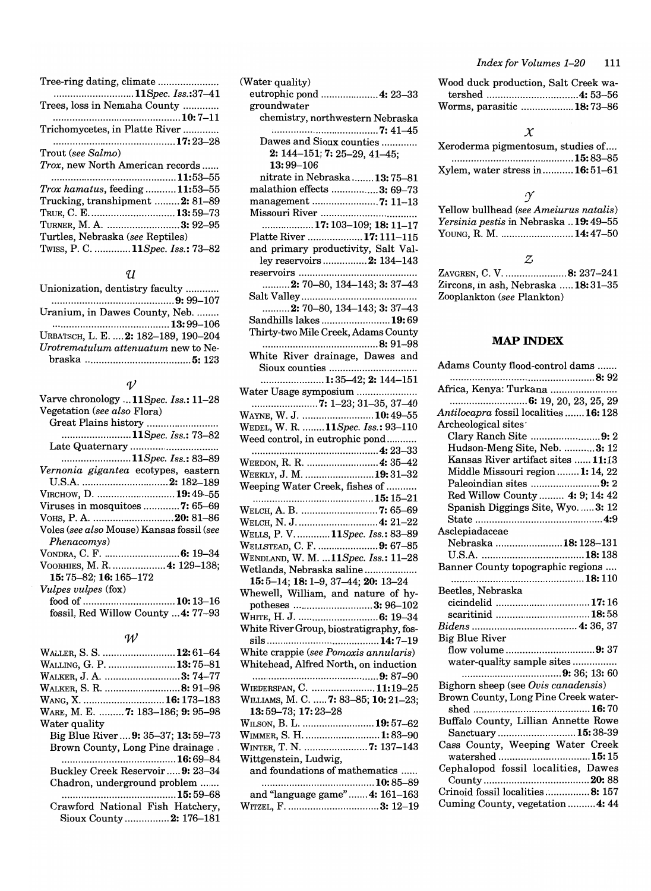| Tree-ring dating, climate               |
|-----------------------------------------|
| 11Spec. Iss.:37–41                      |
| Trees, loss in Nemaha County            |
|                                         |
| Trichomycetes, in Platte River          |
|                                         |
| Trout (see Salmo)                       |
| Trox, new North American records        |
|                                         |
| $Trox\,hamatus, feeding \dots 11:53-55$ |
| Trucking, transhipment 2: 81–89         |
| TRUE, C. E 13:59-73                     |
| TURNER, M. A. 3: 92-95                  |
| Turtles, Nebraska (see Reptiles)        |
| Twiss, P. C.  11Spec. Iss.: 73–82       |
|                                         |

# $\mathcal{U}$

| Unionization, dentistry faculty      |
|--------------------------------------|
|                                      |
| Uranium, in Dawes County, Neb.       |
|                                      |
| URBATSCH, L. E.  2: 182-189, 190-204 |
| Urotrematulum attenuatum new to Ne-  |
|                                      |

### $\mathcal{V}$

| Varve chronology  11 Spec. Iss.: 11-28<br>Vegetation (see also Flora)<br>11Spec. Iss.: 73–82 |
|----------------------------------------------------------------------------------------------|
| Late Quaternary                                                                              |
| 11Spec. Iss.: 83–89                                                                          |
| Vernonia gigantea ecotypes, eastern                                                          |
|                                                                                              |
| VIRCHOW, D.  19:49-55                                                                        |
|                                                                                              |
| VOHS, P. A. 20: 81-86                                                                        |
| Voles (see also Mouse) Kansas fossil (see<br>Phenacomys)                                     |
|                                                                                              |
| VOORHIES, M. R.  4: 129-138;                                                                 |
| 15:75-82; 16:165-172                                                                         |
| <i>Vulpes vulpes</i> (fox)                                                                   |
|                                                                                              |
| fossil, Red Willow County  4: 77-93                                                          |

### *'W*

| WALLER, S. S.  12:61–64                        |
|------------------------------------------------|
| Walling, G. P. 13:75–81                        |
| WALKER, J. A. 3: 74–77                         |
| Walker, S. R. 8: 91–98                         |
| Wang, X. <b>16:</b> 173–183                    |
| WARE, M. E. <b>7:</b> 183–186; <b>9:</b> 95–98 |
| Water quality                                  |
| Big Blue River 9: 35–37; 13: 59–73             |
| Brown County, Long Pine drainage.              |
|                                                |
| Buckley Creek Reservoir  9: 23-34              |
| Chadron, underground problem                   |
|                                                |
| Crawford National Fish Hatchery,               |
| Sioux County 2: 176–181                        |

| (Water quality)                                              |
|--------------------------------------------------------------|
| eutrophic pond  4: 23-33                                     |
| groundwater                                                  |
| chemistry, northwestern Nebraska                             |
|                                                              |
| Dawes and Sioux counties                                     |
| 2: 144-151; 7: 25-29, 41-45;                                 |
| 13:99-106                                                    |
| nitrate in Nebraska  13:75-81                                |
| malathion effects 3: 69-73                                   |
|                                                              |
|                                                              |
| 17: 103-109; 18: 11-17                                       |
| Platte River  17: 111-115                                    |
| and primary productivity, Salt Val-                          |
| ley reservoirs  2: 134-143                                   |
|                                                              |
| $\ldots$ 2: 70-80, 134-143; 3: 37-43                         |
|                                                              |
| 2: 70-80, 134-143; 3: 37-43                                  |
| Sandhills lakes 19:69                                        |
| Thirty-two Mile Creek, Adams County                          |
|                                                              |
| White River drainage, Dawes and                              |
| Sioux counties                                               |
| 1:35–42; 2: 144–151                                          |
|                                                              |
| Water Usage symposium                                        |
|                                                              |
| WAYNE, W. J.  10:49-55<br>WEDEL, W. R.  11Spec. Iss.: 93-110 |
|                                                              |
| Weed control, in eutrophic pond                              |
|                                                              |
| WEEDON, R. R.  4: 35-42                                      |
| WEEKLY, J. M.  19:31-32                                      |
| Weeping Water Creek, fishes of                               |
|                                                              |
| WELCH, A. B. 7: 65-69                                        |
| WELCH, N. J.  4: 21-22                                       |
| WELLS, P. V 11Spec. Iss.: 83-89                              |
| WELLSTEAD, C. F. 9: 67-85                                    |
| WENDLAND, W. M.  11Spec. Iss.: 11-28                         |
| Wetlands, Nebraska saline                                    |
| 15: 5-14; 18: 1-9, 37-44; 20: 13-24                          |
| Whewell, William, and nature of hy-                          |
| potheses 3:96-102                                            |
| WHITE, H. J.  6: 19-34                                       |
| White River Group, biostratigraphy, fos-                     |
|                                                              |
| White crappie (see Pomoxis annularis)                        |
| Whitehead, Alfred North, on induction                        |
|                                                              |
| WIEDERSPAN, C.  11:19-25                                     |
| WILLIAMS, M. C.  7: 83-85; 10: 21-23;                        |
|                                                              |
| 13:59-73; 17:23-28                                           |
| WILSON, B. L.  19:57-62                                      |
| WIMMER, S. H.  1:83-90                                       |
| WINTER, T. N. 7: 137-143                                     |
| Wittgenstein, Ludwig,                                        |
| and foundations of mathematics                               |
|                                                              |
| and "language game" 4: 161-163                               |

| Wood duck production, Salt Creek wa- |  |
|--------------------------------------|--|
|                                      |  |
| Worms, parasitic  18:73-86           |  |

### *X*

| Keroderma pigmentosum, studies of |  |
|-----------------------------------|--|
|                                   |  |
| Kylem. water stress in $16:51-61$ |  |

### $\mathcal{Y}$

| Yellow bullhead (see Ameiurus natalis)              |  |
|-----------------------------------------------------|--|
| <i>Yersinia pestis</i> in Nebraska <b>19:</b> 49–55 |  |
| YOUNG, R. M. 14:47–50                               |  |

### Z

ZAVGREN, C. V. ......................8: 237–241  $Zircons,$  in ash, Nebraska ..... $18:31-35$ Zooplankton *(see* Plankton)

# MAP INDEX

| Adams County flood-control dams                                     |
|---------------------------------------------------------------------|
|                                                                     |
| Africa, Kenya: Turkana                                              |
|                                                                     |
| Antilocapra fossil localities  16: 128                              |
| Archeological sites                                                 |
| Clary Ranch Site 9: 2                                               |
| Hudson-Meng Site, Neb. 3: 12                                        |
| Kansas River artifact sites  11:13                                  |
| Middle Missouri region  1: 14, 22                                   |
| Paleoindian sites 9: 2                                              |
| Red Willow County  4: 9; 14: 42                                     |
| Spanish Diggings Site, Wyo.  3: 12                                  |
|                                                                     |
| Asclepiadaceae                                                      |
| Nebraska  18: 128-131                                               |
|                                                                     |
|                                                                     |
| Banner County topographic regions                                   |
|                                                                     |
| Beetles, Nebraska                                                   |
| cicindelid 17:16                                                    |
|                                                                     |
|                                                                     |
| <b>Big Blue River</b>                                               |
| flow volume 9: 37                                                   |
| water-quality sample sites                                          |
|                                                                     |
| Bighorn sheep (see Ovis canadensis)                                 |
| Brown County, Long Pine Creek water-                                |
|                                                                     |
|                                                                     |
|                                                                     |
| Buffalo County, Lillian Annette Rowe                                |
| Sanctuary  15:38-39                                                 |
| Cass County, Weeping Water Creek                                    |
| watershed 15:15                                                     |
| Cephalopod fossil localities, Dawes                                 |
|                                                                     |
| Crinoid fossil localities8: 157<br>Cuming County, vegetation  4: 44 |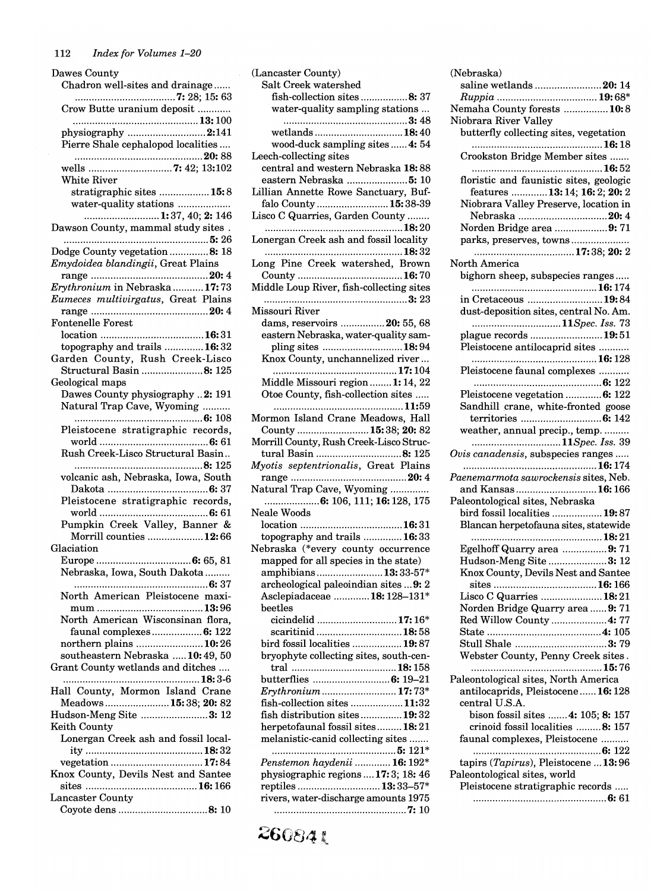| Dawes County                          |
|---------------------------------------|
| Chadron well-sites and drainage       |
|                                       |
| Crow Butte uranium deposit            |
|                                       |
|                                       |
| physiography 2:141                    |
| Pierre Shale cephalopod localities    |
|                                       |
|                                       |
| White River                           |
| stratigraphic sites  15:8             |
| water-quality stations                |
| 1:37, 40; 2: 146                      |
|                                       |
| Dawson County, mammal study sites.    |
|                                       |
| Dodge County vegetation 8: 18         |
| Emydoidea blandingii, Great Plains    |
|                                       |
| Erythronium in Nebraska 17:73         |
| Eumeces multivirgatus, Great Plains   |
|                                       |
|                                       |
| <b>Fontenelle Forest</b>              |
|                                       |
| topography and trails  16:32          |
| Garden County, Rush Creek-Lisco       |
| Structural Basin 8: 125               |
| Geological maps                       |
| Dawes County physiography 2: 191      |
|                                       |
| Natural Trap Cave, Wyoming            |
|                                       |
| Pleistocene stratigraphic records,    |
|                                       |
| Rush Creek-Lisco Structural Basin     |
|                                       |
| volcanic ash, Nebraska, Iowa, South   |
|                                       |
|                                       |
| Pleistocene stratigraphic records,    |
|                                       |
| Pumpkin Creek Valley, Banner &        |
| Morrill counties 12:66                |
| Glaciation                            |
| Europe .<br>6: 65, 81                 |
| Nebraska, Iowa, South Dakota          |
|                                       |
|                                       |
| North American Pleistocene maxi-      |
|                                       |
| North American Wisconsinan flora,     |
| faunal complexes 6: 122               |
|                                       |
|                                       |
| northern plains 10:26                 |
| southeastern Nebraska  10:49, 50      |
| Grant County wetlands and ditches     |
| 18:3-6<br>.                           |
| Hall County, Mormon Island Crane      |
| Meadows 15:38; 20: 82                 |
|                                       |
| Hudson-Meng Site 3: 12                |
| Keith County                          |
| Lonergan Creek ash and fossil local-  |
|                                       |
| vegetation 17:84                      |
| Knox County, Devils Nest and Santee   |
|                                       |
| Lancaster County<br>Coyote dens 8: 10 |

| Lancaster County)                                                     |
|-----------------------------------------------------------------------|
| Salt Creek watershed                                                  |
| fish-collection sites 8: 37                                           |
| water-quality sampling stations                                       |
|                                                                       |
| wetlands 18:40<br>wood-duck sampling sites  4: 54                     |
| eech-collecting sites                                                 |
| central and western Nebraska 18:88                                    |
| eastern Nebraska 5: 10                                                |
| Lillian Annette Rowe Sanctuary, Buf-                                  |
| falo County  15:38-39                                                 |
| isco C Quarries, Garden County                                        |
|                                                                       |
| Lonergan Creek ash and fossil locality                                |
| Long Pine Creek watershed, Brown                                      |
|                                                                       |
| Middle Loup River, fish-collecting sites                              |
|                                                                       |
| Missouri River                                                        |
| dams, reservoirs 20: 55, 68                                           |
| eastern Nebraska, water-quality sam-                                  |
| pling sites 18:94<br>Knox County, unchannelized river                 |
|                                                                       |
| Middle Missouri region  1: 14, 22                                     |
| Otoe County, fish-collection sites                                    |
| 11:59                                                                 |
| Mormon Island Crane Meadows, Hall                                     |
| County  15:38; 20:82                                                  |
| Morrill County, Rush Creek-Lisco Struc-                               |
| tural Basin 8: 125                                                    |
| Myotis septentrionalis, Great Plains                                  |
| Vatural Trap Cave, Wyoming                                            |
|                                                                       |
| <b>Veale Woods</b>                                                    |
|                                                                       |
| topography and trails  16:33                                          |
| Nebraska (*every county occurrence                                    |
| mapped for all species in the state)                                  |
| amphibians13:33-57*                                                   |
| archeological paleoindian sites  9: 2                                 |
| Asclepiadaceae  18: 128-131*<br>beetles                               |
| cicindelid  17:16*                                                    |
| scaritinid18:58                                                       |
| bird fossil localities  19:87                                         |
| bryophyte collecting sites, south-cen-                                |
|                                                                       |
| butterflies  6: 19-21                                                 |
| Erythronium  17:73*                                                   |
| fish-collection sites  11:32                                          |
| fish distribution sites 19:32                                         |
| herpetofaunal fossil sites 18:21<br>melanistic-canid collecting sites |
|                                                                       |
| Penstemon haydenii  16: 192*                                          |
| physiographic regions  17:3; 18:46                                    |
| reptiles  13:33-57*                                                   |
| rivers, water-discharge amounts 1975                                  |
|                                                                       |
|                                                                       |

| saline wetlands 20: 14                                                  |
|-------------------------------------------------------------------------|
|                                                                         |
| Nemaha County forests  10:8                                             |
| Niobrara River Valley                                                   |
| butterfly collecting sites, vegetation                                  |
| Crookston Bridge Member sites                                           |
| floristic and faunistic sites, geologic                                 |
| features  13: 14; 16: 2; 20: 2                                          |
| Niobrara Valley Preserve, location in                                   |
| Nebraska 20: 4                                                          |
| Norden Bridge area 9: 71                                                |
| parks, preserves, towns                                                 |
|                                                                         |
| North America                                                           |
| bighorn sheep, subspecies ranges                                        |
|                                                                         |
| in Cretaceous 19:84<br>dust-deposition sites, central No. Am.           |
| 11Spec. Iss. 73                                                         |
| plague records  19:51                                                   |
| Pleistocene antilocaprid sites                                          |
|                                                                         |
| Pleistocene faunal complexes                                            |
|                                                                         |
| Pleistocene vegetation  6: 122                                          |
| Sandhill crane, white-fronted goose                                     |
|                                                                         |
| weather, annual precip., temp.                                          |
| 11Spec. Iss. 39<br>Ovis canadensis, subspecies ranges                   |
|                                                                         |
| Paenemarmota sawrockensis sites, Neb.                                   |
|                                                                         |
| and Kansas  16:166                                                      |
| Paleontological sites, Nebraska                                         |
| bird fossil localities  19:87                                           |
| Blancan herpetofauna sites, statewide                                   |
|                                                                         |
| Egelhoff Quarry area 9: 71                                              |
| Hudson-Meng Site 3: 12                                                  |
| Knox County, Devils Nest and Santee                                     |
| Lisco C Quarries  18:21                                                 |
| Norden Bridge Quarry area  9: 71                                        |
| Red Willow County  4: 77                                                |
|                                                                         |
| Stull Shale 3:79                                                        |
| Webster County, Penny Creek sites.                                      |
|                                                                         |
| Paleontological sites, North America                                    |
| antilocaprids, Pleistocene 16: 128                                      |
| central U.S.A.                                                          |
| bison fossil sites  4: 105; 8: 157<br>crinoid fossil localities  8: 157 |
| faunal complexes, Pleistocene                                           |
|                                                                         |
| tapirs (Tapirus), Pleistocene  13:96                                    |
| Paleontological sites, world                                            |
| Pleistocene stratigraphic records                                       |